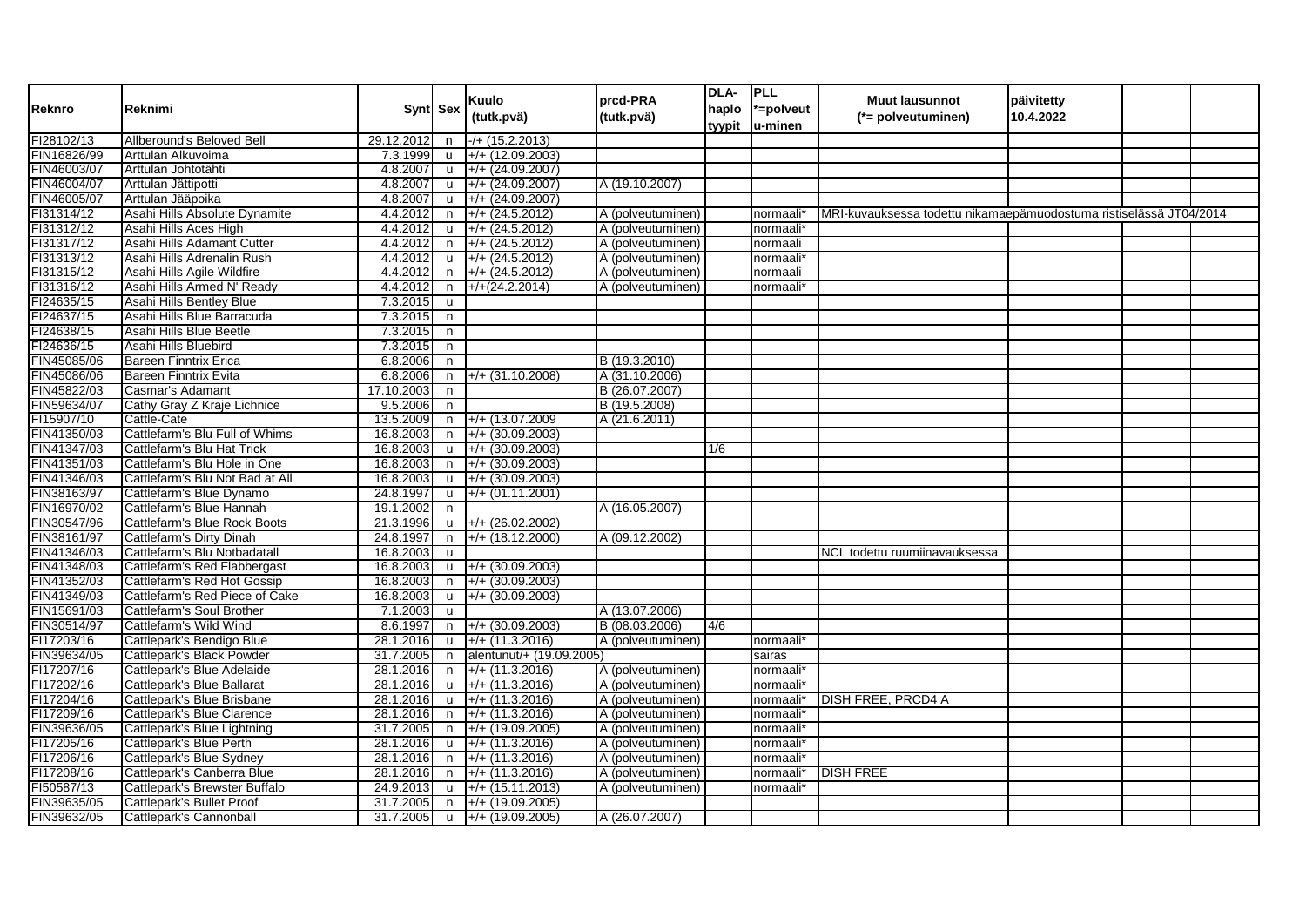| Reknro      | Reknimi                         |               | Synt Sex     | Kuulo<br>(tutk.pvä)               | prcd-PRA<br>(tutk.pvä) | DLA-<br>tyypit | PLL<br>haplo  *=polveut<br>lu-minen | <b>Muut lausunnot</b><br>(*= polveutuminen)                        | päivitetty<br>10.4.2022 |  |
|-------------|---------------------------------|---------------|--------------|-----------------------------------|------------------------|----------------|-------------------------------------|--------------------------------------------------------------------|-------------------------|--|
| FI28102/13  | Allberound's Beloved Bell       | 29.12.2012    | n            | $-$ /+ (15.2.2013)                |                        |                |                                     |                                                                    |                         |  |
| FIN16826/99 | Arttulan Alkuvoima              | 7.3.1999      | $\mathbf{u}$ | $+ / + (12.09.2003)$              |                        |                |                                     |                                                                    |                         |  |
| FIN46003/07 | Arttulan Johtotähti             | 4.8.2007      | <b>u</b>     | $+/- (24.09.2007)$                |                        |                |                                     |                                                                    |                         |  |
| FIN46004/07 | Arttulan Jättipotti             | 4.8.2007      | <b>u</b>     | $+/- (24.09.2007)$                | A (19.10.2007)         |                |                                     |                                                                    |                         |  |
| FIN46005/07 | Arttulan Jääpoika               | 4.8.2007      | <b>u</b>     | $+/- (24.09.2007)$                |                        |                |                                     |                                                                    |                         |  |
| FI31314/12  | Asahi Hills Absolute Dynamite   | 4.4.2012      | n            | $+/- (24.5.2012)$                 | A (polveutuminen)      |                | normaali                            | MRI-kuvauksessa todettu nikamaepämuodostuma ristiselässä JT04/2014 |                         |  |
| FI31312/12  | Asahi Hills Aces High           | 4.4.2012      | u            | $+/- (24.5.2012)$                 | A (polveutuminen)      |                | normaali*                           |                                                                    |                         |  |
| FI31317/12  | Asahi Hills Adamant Cutter      | 4.4.2012      | n            | $+ / + (24.5.2012)$               | A (polveutuminen)      |                | normaali                            |                                                                    |                         |  |
| FI31313/12  | Asahi Hills Adrenalin Rush      | 4.4.2012      | u            | $+/- (24.5.2012)$                 | A (polveutuminen)      |                | normaali'                           |                                                                    |                         |  |
| FI31315/12  | Asahi Hills Agile Wildfire      | 4.4.2012      | n            | $+/- (24.5.2012)$                 | A (polveutuminen)      |                | าormaali                            |                                                                    |                         |  |
| FI31316/12  | Asahi Hills Armed N' Ready      | 4.4.2012      | n            | $+$ /+(24.2.2014)                 | A (polveutuminen)      |                | normaali*                           |                                                                    |                         |  |
| FI24635/15  | Asahi Hills Bentley Blue        | 7.3.2015      | <b>u</b>     |                                   |                        |                |                                     |                                                                    |                         |  |
| FI24637/15  | Asahi Hills Blue Barracuda      | 7.3.2015      | n            |                                   |                        |                |                                     |                                                                    |                         |  |
| FI24638/15  | Asahi Hills Blue Beetle         | 7.3.2015      | n            |                                   |                        |                |                                     |                                                                    |                         |  |
| FI24636/15  | Asahi Hills Bluebird            | 7.3.2015      | n            |                                   |                        |                |                                     |                                                                    |                         |  |
| FIN45085/06 | <b>Bareen Finntrix Erica</b>    | 6.8.2006      | n            |                                   | B (19.3.2010)          |                |                                     |                                                                    |                         |  |
| FIN45086/06 | <b>Bareen Finntrix Evita</b>    | 6.8.2006      | n            | $+/- (31.10.2008)$                | A (31.10.2006)         |                |                                     |                                                                    |                         |  |
| FIN45822/03 | Casmar's Adamant                | 17.10.2003    | n            |                                   | B (26.07.2007)         |                |                                     |                                                                    |                         |  |
| FIN59634/07 | Cathy Gray Z Kraje Lichnice     | 9.5.2006      | n            |                                   | B (19.5.2008)          |                |                                     |                                                                    |                         |  |
| FI15907/10  | Cattle-Cate                     | 13.5.2009     | n            | $+/- (13.07.2009)$                | A (21.6.2011)          |                |                                     |                                                                    |                         |  |
| FIN41350/03 | Cattlefarm's Blu Full of Whims  | 16.8.2003     | n            | $+/- (30.09.2003)$                |                        |                |                                     |                                                                    |                         |  |
| FIN41347/03 | Cattlefarm's Blu Hat Trick      | 16.8.2003     | <b>u</b>     | $+/- (30.09.2003)$                |                        | 1/6            |                                     |                                                                    |                         |  |
| FIN41351/03 | Cattlefarm's Blu Hole in One    | 16.8.2003     | n.           | $+/- (30.09.2003)$                |                        |                |                                     |                                                                    |                         |  |
| FIN41346/03 | Cattlefarm's Blu Not Bad at All | 16.8.2003     | <b>u</b>     | $+/- (30.09.2003)$                |                        |                |                                     |                                                                    |                         |  |
| FIN38163/97 | Cattlefarm's Blue Dynamo        | 24.8.1997     | <b>u</b>     | $+/- (01.11.2001)$                |                        |                |                                     |                                                                    |                         |  |
| FIN16970/02 | Cattlefarm's Blue Hannah        | 19.1.2002     | n            |                                   | A (16.05.2007)         |                |                                     |                                                                    |                         |  |
| FIN30547/96 | Cattlefarm's Blue Rock Boots    | 21.3.1996     | u            | $+ / + (26.02.2002)$              |                        |                |                                     |                                                                    |                         |  |
| FIN38161/97 | Cattlefarm's Dirty Dinah        | 24.8.1997     | n            | $+/- (18.12.2000)$                | A (09.12.2002)         |                |                                     |                                                                    |                         |  |
| FIN41346/03 | Cattlefarm's Blu Notbadatall    | 16.8.2003     | <b>u</b>     |                                   |                        |                |                                     | NCL todettu ruumiinavauksessa                                      |                         |  |
| FIN41348/03 | Cattlefarm's Red Flabbergast    | 16.8.2003     | <b>u</b>     | $+/- (30.09.2003)$                |                        |                |                                     |                                                                    |                         |  |
| FIN41352/03 | Cattlefarm's Red Hot Gossip     | 16.8.2003     | n            | $+ / + (30.09.2003)$              |                        |                |                                     |                                                                    |                         |  |
| FIN41349/03 | Cattlefarm's Red Piece of Cake  | 16.8.2003     | <b>u</b>     | $+ / + (30.09.2003)$              |                        |                |                                     |                                                                    |                         |  |
| FIN15691/03 | Cattlefarm's Soul Brother       | 7.1.2003      | <b>u</b>     |                                   | A (13.07.2006)         |                |                                     |                                                                    |                         |  |
| FIN30514/97 | Cattlefarm's Wild Wind          | 8.6.1997      | n.           | $+/- (30.09.2003)$                | B (08.03.2006)         | 4/6            |                                     |                                                                    |                         |  |
| FI17203/16  | Cattlepark's Bendigo Blue       | 28.1.2016     | <b>u</b>     | $+/+(11.3.2016)$                  | A (polveutuminen)      |                | normaali*                           |                                                                    |                         |  |
| FIN39634/05 | Cattlepark's Black Powder       | 31.7.2005     | n            | alentunut/+ (19.09.2005)          |                        |                | sairas                              |                                                                    |                         |  |
| FI17207/16  | Cattlepark's Blue Adelaide      | 28.1.2016     | n            | $+/- (11.3.2016)$                 | A (polveutuminen)      |                | normaali*                           |                                                                    |                         |  |
| FI17202/16  | Cattlepark's Blue Ballarat      | 28.1.2016     | <b>u</b>     | $+/- (11.3.2016)$                 | A (polveutuminen)      |                | normaali                            |                                                                    |                         |  |
| FI17204/16  | Cattlepark's Blue Brisbane      | 28.1.2016     | <b>u</b>     | $+$ /+ (11.3.2016)                | A (polveutuminen)      |                | normaali                            | DISH FREE, PRCD4 A                                                 |                         |  |
| FI17209/16  | Cattlepark's Blue Clarence      | 28.1.2016     | n            | $+/- (11.3.2016)$                 | A (polveutuminen)      |                | normaali                            |                                                                    |                         |  |
| FIN39636/05 | Cattlepark's Blue Lightning     | 31.7.2005     | n            | $+/- (19.09.2005)$                | A (polveutuminen)      |                | normaali                            |                                                                    |                         |  |
| FI17205/16  | Cattlepark's Blue Perth         | 28.1.2016     | <b>u</b>     | $+/- (11.3.2016)$                 | A (polveutuminen)      |                | normaali                            |                                                                    |                         |  |
| FI17206/16  | Cattlepark's Blue Sydney        | 28.1.2016     | n            | $+/- (11.3.2016)$                 | A (polveutuminen)      |                | normaali                            |                                                                    |                         |  |
| FI17208/16  | Cattlepark's Canberra Blue      | 28.1.2016     | n            | $+/- (11.3.2016)$                 | A (polveutuminen)      |                | normaali                            | <b>DISH FREE</b>                                                   |                         |  |
| FI50587/13  | Cattlepark's Brewster Buffalo   | 24.9.2013     | <b>u</b>     | $+/- (15.11.2013)$                | A (polveutuminen)      |                | normaali                            |                                                                    |                         |  |
| FIN39635/05 | Cattlepark's Bullet Proof       | 31.7.2005     | n            | $+/- (19.09.2005)$                |                        |                |                                     |                                                                    |                         |  |
| FIN39632/05 | Cattlepark's Cannonball         | 31.7.2005   u |              | $\left  +/+ (19.09.2005) \right $ | A (26.07.2007)         |                |                                     |                                                                    |                         |  |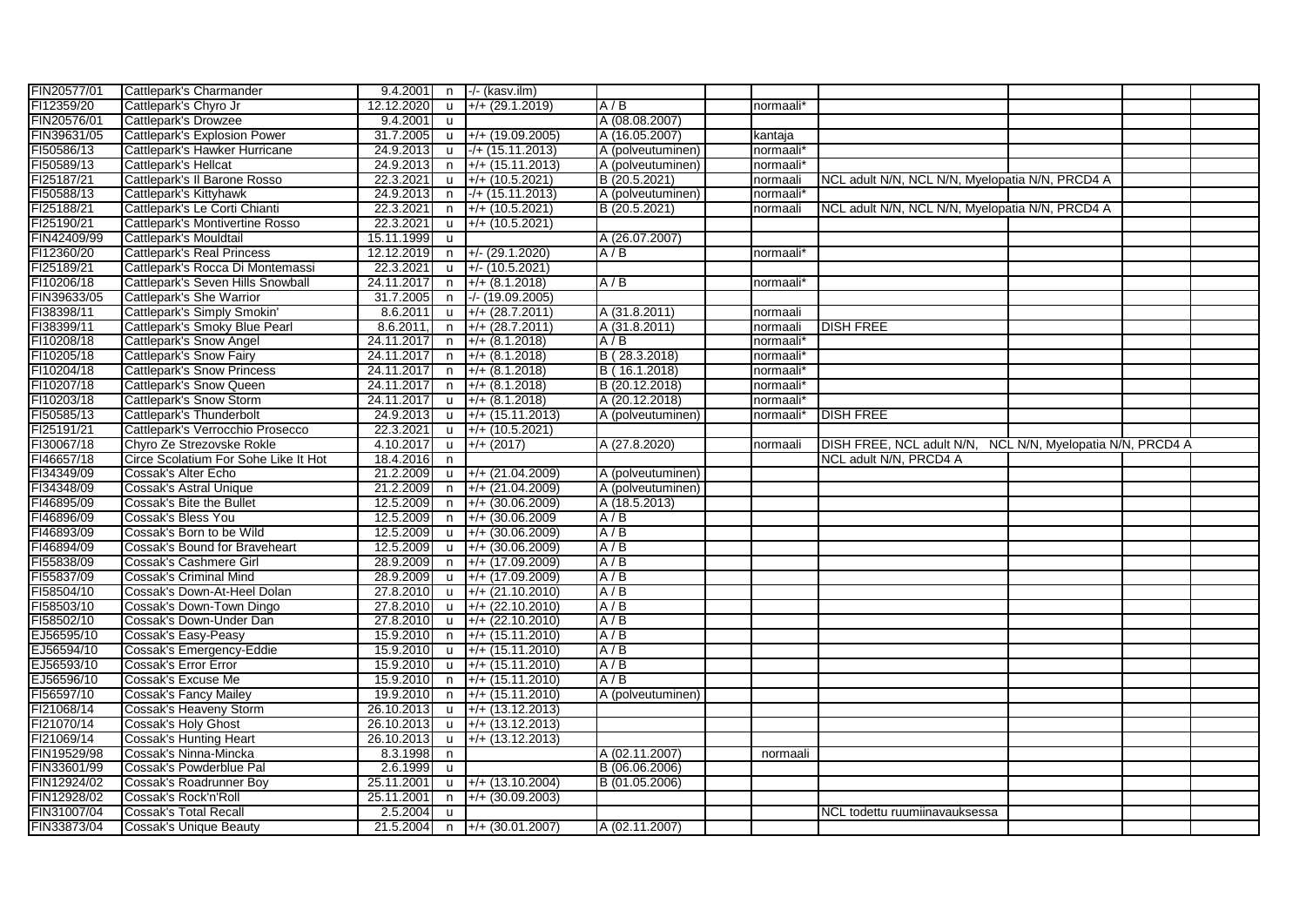| FIN20577/01 | Cattlepark's Charmander              |                         |              | $9.4.2001$ n $\rightarrow$ (kasv.ilm) |                   |           |                                                            |  |  |
|-------------|--------------------------------------|-------------------------|--------------|---------------------------------------|-------------------|-----------|------------------------------------------------------------|--|--|
| FI12359/20  | Cattlepark's Chyro Jr                | 12.12.2020              | <b>u</b>     | $+/- (29.1.2019)$                     | A/B               | normaali* |                                                            |  |  |
| FIN20576/01 | Cattlepark's Drowzee                 | 9.4.2001                | <b>u</b>     |                                       | A (08.08.2007)    |           |                                                            |  |  |
| FIN39631/05 | Cattlepark's Explosion Power         | 31.7.2005               | <b>u</b>     | $+/- (19.09.2005)$                    | A (16.05.2007)    | kantaja   |                                                            |  |  |
| FI50586/13  | Cattlepark's Hawker Hurricane        | 24.9.2013               | u            | $-/- (15.11.2013)$                    | A (polveutuminen) | normaali* |                                                            |  |  |
| FI50589/13  | Cattlepark's Hellcat                 | 24.9.2013               | n.           | $+/- (15.11.2013)$                    | A (polveutuminen) | normaali* |                                                            |  |  |
| FI25187/21  | Cattlepark's Il Barone Rosso         | 22.3.2021               | u            | $+/- (10.5.2021)$                     | B (20.5.2021)     | normaali  | NCL adult N/N, NCL N/N, Myelopatia N/N, PRCD4 A            |  |  |
| FI50588/13  | Cattlepark's Kittyhawk               | 24.9.2013               | n            | $-/- (15.11.2013)$                    | A (polveutuminen) | normaali* |                                                            |  |  |
| FI25188/21  | Cattlepark's Le Corti Chianti        | 22.3.2021               | n            | $+/- (10.5.2021)$                     | B (20.5.2021)     | normaali  | NCL adult N/N, NCL N/N, Myelopatia N/N, PRCD4 A            |  |  |
| FI25190/21  | Cattlepark's Montivertine Rosso      | 22.3.2021               | $\mathsf{u}$ | $+/- (10.5.2021)$                     |                   |           |                                                            |  |  |
| FIN42409/99 | Cattlepark's Mouldtail               | 15.11.1999              | <b>u</b>     |                                       | A (26.07.2007)    |           |                                                            |  |  |
| FI12360/20  | <b>Cattlepark's Real Princess</b>    | 12.12.2019              | n            | $+/- (29.1.2020)$                     | A/B               | normaali* |                                                            |  |  |
| FI25189/21  | Cattlepark's Rocca Di Montemassi     | 22.3.2021               | <b>u</b>     | $+/- (10.5.2021)$                     |                   |           |                                                            |  |  |
| FI10206/18  | Cattlepark's Seven Hills Snowball    | 24.11.2017              | n.           | $+/- (8.1.2018)$                      | A/B               | normaali* |                                                            |  |  |
| FIN39633/05 | Cattlepark's She Warrior             | 31.7.2005               | n            | $-/- (19.09.2005)$                    |                   |           |                                                            |  |  |
| FI38398/11  | Cattlepark's Simply Smokin'          | 8.6.2011                | u            | $+/- (28.7.2011)$                     | A (31.8.2011)     | normaali  |                                                            |  |  |
| FI38399/11  | Cattlepark's Smoky Blue Pearl        | $\overline{8.6.2011}$ , | n            | $+/- (28.7.2011)$                     | A (31.8.2011)     | normaali  | <b>DISH FREE</b>                                           |  |  |
| FI10208/18  | Cattlepark's Snow Angel              | 24.11.2017              | n            | $+/- (8.1.2018)$                      | A/B               | normaali* |                                                            |  |  |
| FI10205/18  | Cattlepark's Snow Fairy              | 24.11.2017              | n            | $+/- (8.1.2018)$                      | B (28.3.2018)     | normaali* |                                                            |  |  |
| FI10204/18  | <b>Cattlepark's Snow Princess</b>    | 24.11.2017              | n            | $+/- (8.1.2018)$                      | B (16.1.2018)     | normaali* |                                                            |  |  |
| FI10207/18  | Cattlepark's Snow Queen              | 24.11.2017              | n            | $+/- (8.1.2018)$                      | B (20.12.2018)    | normaali* |                                                            |  |  |
| FI10203/18  | Cattlepark's Snow Storm              | 24.11.2017              | u            | $+/- (8.1.2018)$                      | A (20.12.2018)    | normaali* |                                                            |  |  |
| FI50585/13  | Cattlepark's Thunderbolt             | 24.9.2013               | $\mathsf{u}$ | $+/- (15.11.2013)$                    | A (polveutuminen) | normaali* | <b>DISH FREE</b>                                           |  |  |
| FI25191/21  | Cattlepark's Verrocchio Prosecco     | 22.3.2021               |              | $\frac{1}{2}$ +/+ (10.5.2021)         |                   |           |                                                            |  |  |
| FI30067/18  | Chyro Ze Strezovske Rokle            | 4.10.2017               | $\mathsf{u}$ | $+/- (2017)$                          | A (27.8.2020)     | normaali  | DISH FREE, NCL adult N/N, NCL N/N, Myelopatia N/N, PRCD4 A |  |  |
| FI46657/18  | Circe Scolatium For Sohe Like It Hot | 18.4.2016               | n            |                                       |                   |           | NCL adult N/N, PRCD4 A                                     |  |  |
| FI34349/09  | Cossak's Alter Echo                  | 21.2.2009               | $\mathsf{u}$ | $+/- (21.04.2009)$                    | A (polveutuminen) |           |                                                            |  |  |
| FI34348/09  | Cossak's Astral Unique               | 21.2.2009               | n            | $+ / + (21.04.2009)$                  | A (polveutuminen) |           |                                                            |  |  |
| FI46895/09  | Cossak's Bite the Bullet             | 12.5.2009               | n            | $+/- (30.06.2009)$                    | A (18.5.2013)     |           |                                                            |  |  |
| FI46896/09  | Cossak's Bless You                   | 12.5.2009               | n            | $+/- (30.06.2009)$                    | A/B               |           |                                                            |  |  |
| FI46893/09  | Cossak's Born to be Wild             | 12.5.2009               | $\mathsf{u}$ | $+/- (30.06.2009)$                    | A/B               |           |                                                            |  |  |
| FI46894/09  | Cossak's Bound for Braveheart        | 12.5.2009               | <b>u</b>     | $+/- (30.06.2009)$                    | A/B               |           |                                                            |  |  |
| FI55838/09  | Cossak's Cashmere Girl               | 28.9.2009               | n            | $+/- (17.09.2009)$                    | A/B               |           |                                                            |  |  |
| FI55837/09  | Cossak's Criminal Mind               | 28.9.2009               | <b>u</b>     | $+/- (17.09.2009)$                    | A/B               |           |                                                            |  |  |
| FI58504/10  | Cossak's Down-At-Heel Dolan          | 27.8.2010               | <b>u</b>     | $+/- (21.10.2010)$                    | A/B               |           |                                                            |  |  |
| FI58503/10  | Cossak's Down-Town Dingo             | 27.8.2010               | $\mathsf{u}$ | $+/- (22.10.2010)$                    | A/B               |           |                                                            |  |  |
| FI58502/10  | Cossak's Down-Under Dan              | 27.8.2010               |              | $\mu$ +/+ (22.10.2010)                | A/B               |           |                                                            |  |  |
| EJ56595/10  | Cossak's Easy-Peasy                  | 15.9.2010               | n            | $+/- (15.11.2010)$                    | A/B               |           |                                                            |  |  |
| EJ56594/10  | Cossak's Emergency-Eddie             | 15.9.2010               | $\mathsf{u}$ | $+/- (15.11.2010)$                    | A/B               |           |                                                            |  |  |
| EJ56593/10  | Cossak's Error Error                 | 15.9.2010               | <b>u</b>     | $+/- (15.11.2010)$                    | A/B               |           |                                                            |  |  |
| EJ56596/10  | Cossak's Excuse Me                   | 15.9.2010               | n            | $+/- (15.11.2010)$                    | A/B               |           |                                                            |  |  |
| FI56597/10  | <b>Cossak's Fancy Mailey</b>         | 19.9.2010               | n.           | $+/- (15.11.2010)$                    | A (polveutuminen) |           |                                                            |  |  |
| FI21068/14  | Cossak's Heaveny Storm               | 26.10.2013              | <b>u</b>     | $+/- (13.12.2013)$                    |                   |           |                                                            |  |  |
| FI21070/14  | <b>Cossak's Holy Ghost</b>           | 26.10.2013              | <b>u</b>     | $+/- (13.12.2013)$                    |                   |           |                                                            |  |  |
| FI21069/14  | <b>Cossak's Hunting Heart</b>        | 26.10.2013              | <b>u</b>     | $+/- (13.12.2013)$                    |                   |           |                                                            |  |  |
| FIN19529/98 | Cossak's Ninna-Mincka                | 8.3.1998                | n            |                                       | A (02.11.2007)    | normaali  |                                                            |  |  |
| FIN33601/99 | Cossak's Powderblue Pal              | 2.6.1999                | <b>u</b>     |                                       | B (06.06.2006)    |           |                                                            |  |  |
| FIN12924/02 | Cossak's Roadrunner Boy              | 25.11.2001              |              | $\mu$ +/+ (13.10.2004)                | B (01.05.2006)    |           |                                                            |  |  |
| FIN12928/02 | Cossak's Rock'n'Roll                 | 25.11.2001              | n            | $+/- (30.09.2003)$                    |                   |           |                                                            |  |  |
| FIN31007/04 | <b>Cossak's Total Recall</b>         | 2.5.2004                | <b>u</b>     |                                       |                   |           | NCL todettu ruumiinavauksessa                              |  |  |
| FIN33873/04 | Cossak's Unique Beauty               |                         |              | $21.5.2004$ n +/+ (30.01.2007)        | A (02.11.2007)    |           |                                                            |  |  |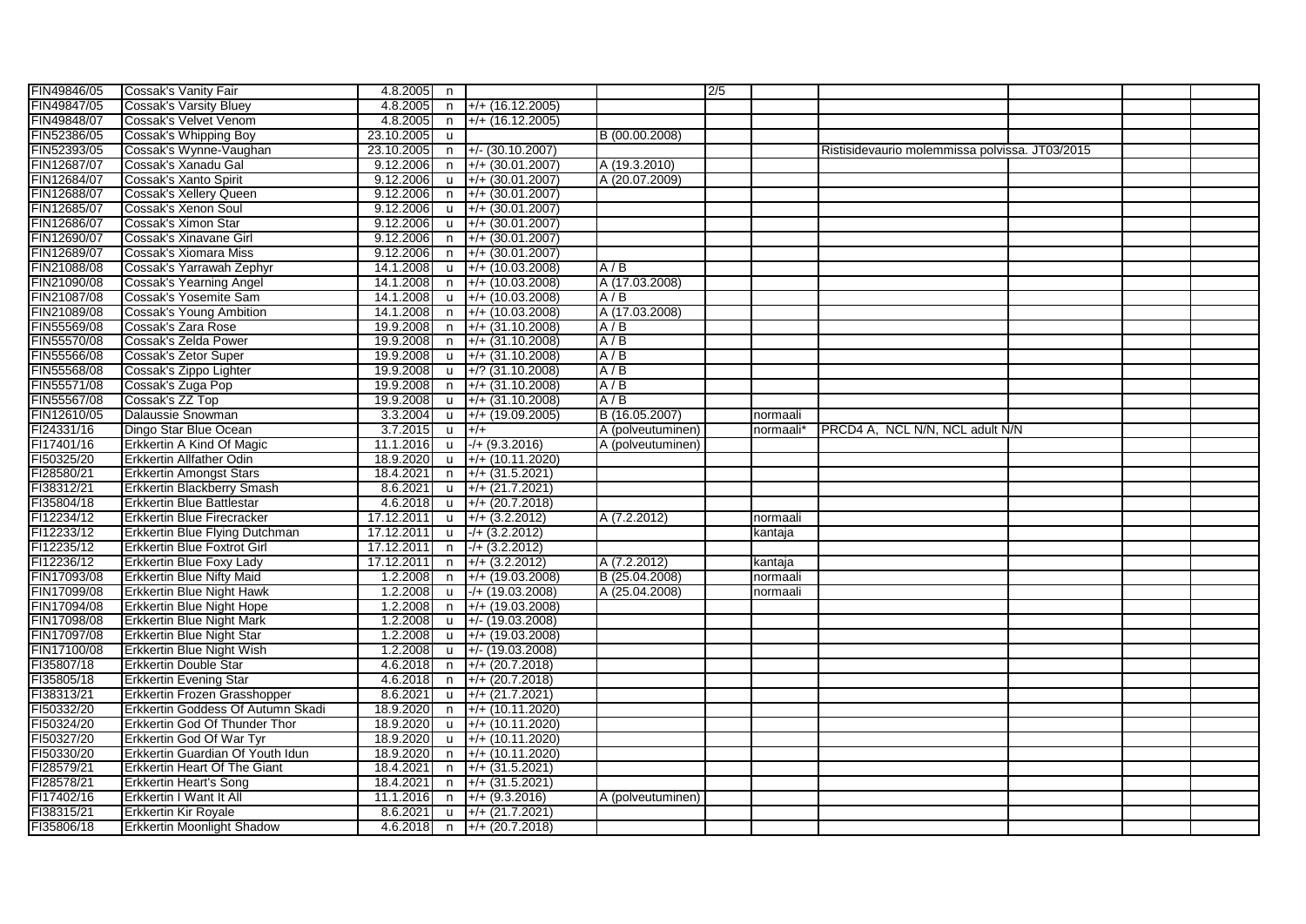| FIN49846/05 | Cossak's Vanity Fair                | $4.8.2005$ n |              |                      |                   | 2/5 |           |                                                |  |  |
|-------------|-------------------------------------|--------------|--------------|----------------------|-------------------|-----|-----------|------------------------------------------------|--|--|
| FIN49847/05 | <b>Cossak's Varsity Bluey</b>       | 4.8.2005     | n            | $+/+$ (16.12.2005)   |                   |     |           |                                                |  |  |
| FIN49848/07 | Cossak's Velvet Venom               | 4.8.2005     | n            | $+/+ (16.12.2005)$   |                   |     |           |                                                |  |  |
| FIN52386/05 | Cossak's Whipping Boy               | 23.10.2005   | <b>u</b>     |                      | B (00.00.2008)    |     |           |                                                |  |  |
| FIN52393/05 | Cossak's Wynne-Vaughan              | 23.10.2005   | n            | $+/- (30.10.2007)$   |                   |     |           | Ristisidevaurio molemmissa polvissa. JT03/2015 |  |  |
| FIN12687/07 | Cossak's Xanadu Gal                 | 9.12.2006    | $\mathsf{n}$ | $+/- (30.01.2007)$   | A (19.3.2010)     |     |           |                                                |  |  |
| FIN12684/07 | Cossak's Xanto Spirit               | 9.12.2006    | $\mathsf{u}$ | $+$ /+ (30.01.2007)  | A (20.07.2009)    |     |           |                                                |  |  |
| FIN12688/07 | <b>Cossak's Xellery Queen</b>       | 9.12.2006    | n            | $+/- (30.01.2007)$   |                   |     |           |                                                |  |  |
| FIN12685/07 | Cossak's Xenon Soul                 | 9.12.2006    | $\mathsf{u}$ | $+/+(30.01.2007)$    |                   |     |           |                                                |  |  |
| FIN12686/07 | Cossak's Ximon Star                 | 9.12.2006    | <b>u</b>     | $+/- (30.01.2007)$   |                   |     |           |                                                |  |  |
| FIN12690/07 | Cossak's Xinavane Girl              | 9.12.2006    | n            | $+/- (30.01.2007)$   |                   |     |           |                                                |  |  |
| FIN12689/07 | Cossak's Xiomara Miss               | 9.12.2006    | n            | $+/- (30.01.2007)$   |                   |     |           |                                                |  |  |
| FIN21088/08 | Cossak's Yarrawah Zephyr            | 14.1.2008    | $\mathsf{u}$ | $+/+$ (10.03.2008)   | A/B               |     |           |                                                |  |  |
| FIN21090/08 | Cossak's Yearning Angel             | 14.1.2008    | $\mathsf{n}$ | $+/- (10.03.2008)$   | A (17.03.2008)    |     |           |                                                |  |  |
| FIN21087/08 | Cossak's Yosemite Sam               | 14.1.2008    | $\mathsf{u}$ | $+/- (10.03.2008)$   | A/B               |     |           |                                                |  |  |
|             |                                     | 14.1.2008    |              |                      |                   |     |           |                                                |  |  |
| FIN21089/08 | <b>Cossak's Young Ambition</b>      |              | $\mathsf{n}$ | $+ / + (10.03.2008)$ | A (17.03.2008)    |     |           |                                                |  |  |
| FIN55569/08 | Cossak's Zara Rose                  | 19.9.2008    | $\mathsf{n}$ | $+$ /+ (31.10.2008)  | A/B               |     |           |                                                |  |  |
| FIN55570/08 | Cossak's Zelda Power                | 19.9.2008    | $\mathsf{n}$ | $+$ /+ (31.10.2008)  | A/B               |     |           |                                                |  |  |
| FIN55566/08 | Cossak's Zetor Super                | 19.9.2008    | u            | $+/- (31.10.2008)$   | A/B               |     |           |                                                |  |  |
| FIN55568/08 | Cossak's Zippo Lighter              | 19.9.2008    | $\mathsf{u}$ | $+$ /? (31.10.2008)  | A/B               |     |           |                                                |  |  |
| FIN55571/08 | Cossak's Zuga Pop                   | 19.9.2008    | n            | $+$ /+ (31.10.2008)  | A/B               |     |           |                                                |  |  |
| FIN55567/08 | Cossak's ZZ Top                     | 19.9.2008    | $\mathsf{u}$ | $+$ /+ (31.10.2008)  | A/B               |     |           |                                                |  |  |
| FIN12610/05 | Dalaussie Snowman                   | 3.3.2004     | $\mathsf{u}$ | $+$ /+ (19.09.2005)  | B (16.05.2007)    |     | normaali  |                                                |  |  |
| FI24331/16  | Dingo Star Blue Ocean               | 3.7.2015     | <b>u</b>     | $+/-$                | A (polveutuminen) |     | normaali* | PRCD4 A, NCL N/N, NCL adult N/N                |  |  |
| FI17401/16  | Erkkertin A Kind Of Magic           | 11.1.2016    | u            | $-/- (9.3.2016)$     | A (polveutuminen) |     |           |                                                |  |  |
| FI50325/20  | Erkkertin Allfather Odin            | 18.9.2020    | $\mathsf{u}$ | $+/+ (10.11.2020)$   |                   |     |           |                                                |  |  |
| FI28580/21  | <b>Erkkertin Amongst Stars</b>      | 18.4.2021    | n            | $+$ /+ (31.5.2021)   |                   |     |           |                                                |  |  |
| FI38312/21  | Erkkertin Blackberry Smash          | 8.6.2021     | <b>u</b>     | $+$ /+ (21.7.2021)   |                   |     |           |                                                |  |  |
| FI35804/18  | <b>Erkkertin Blue Battlestar</b>    | 4.6.2018     | <b>u</b>     | $+/+(20.7.2018)$     |                   |     |           |                                                |  |  |
| FI12234/12  | Erkkertin Blue Firecracker          | 17.12.2011   | <b>u</b>     | $+/- (3.2.2012)$     | A (7.2.2012)      |     | normaali  |                                                |  |  |
| FI12233/12  | Erkkertin Blue Flying Dutchman      | 17.12.201    | $\mathsf{u}$ | $-/- (3.2.2012)$     |                   |     | kantaja   |                                                |  |  |
| FI12235/12  | <b>Erkkertin Blue Foxtrot Girl</b>  | 17.12.2011   | $\mathsf{n}$ | $-/- (3.2.2012)$     |                   |     |           |                                                |  |  |
| FI12236/12  | <b>Erkkertin Blue Foxy Lady</b>     | 17.12.2011   | $\mathsf{n}$ | $+$ /+ (3.2.2012)    | A (7.2.2012)      |     | kantaja   |                                                |  |  |
| FIN17093/08 | <b>Erkkertin Blue Nifty Maid</b>    | 1.2.2008     | n            | $+/- (19.03.2008)$   | B (25.04.2008)    |     | normaali  |                                                |  |  |
| FIN17099/08 | <b>Erkkertin Blue Night Hawk</b>    | 1.2.2008     | u            | $-$ /+ (19.03.2008)  | A (25.04.2008)    |     | normaali  |                                                |  |  |
| FIN17094/08 | <b>Erkkertin Blue Night Hope</b>    | 1.2.2008     | n            | $+$ /+ (19.03.2008)  |                   |     |           |                                                |  |  |
| FIN17098/08 | <b>Erkkertin Blue Night Mark</b>    | 1.2.2008     | $\mathsf{u}$ | $+/- (19.03.2008)$   |                   |     |           |                                                |  |  |
| FIN17097/08 | <b>Erkkertin Blue Night Star</b>    | 1.2.2008     | <b>u</b>     | $+/- (19.03.2008)$   |                   |     |           |                                                |  |  |
| FIN17100/08 | Erkkertin Blue Night Wish           | 1.2.2008     | $\mathsf{u}$ | $+/- (19.03.2008)$   |                   |     |           |                                                |  |  |
| FI35807/18  | <b>Erkkertin Double Star</b>        | 4.6.2018     | n            | $+ / + (20.7.2018)$  |                   |     |           |                                                |  |  |
| FI35805/18  | <b>Erkkertin Evening Star</b>       | 4.6.2018     | n            | $+ / + (20.7.2018)$  |                   |     |           |                                                |  |  |
| FI38313/21  | Erkkertin Frozen Grasshopper        | 8.6.2021     | $\mathbf{u}$ | $+/+(21.7.2021)$     |                   |     |           |                                                |  |  |
| FI50332/20  | Erkkertin Goddess Of Autumn Skadi   | 18.9.2020    | $\mathsf{n}$ | $+/+ (10.11.2020)$   |                   |     |           |                                                |  |  |
| FI50324/20  | Erkkertin God Of Thunder Thor       | 18.9.2020    | $\mathsf{u}$ | $+$ /+ (10.11.2020)  |                   |     |           |                                                |  |  |
| FI50327/20  | Erkkertin God Of War Tyr            | 18.9.2020    | $\mathsf{u}$ | $+/- (10.11.2020)$   |                   |     |           |                                                |  |  |
| FI50330/20  | Erkkertin Guardian Of Youth Idun    | 18.9.2020    | $\mathsf{n}$ | $+/+ (10.11.2020)$   |                   |     |           |                                                |  |  |
| FI28579/21  | <b>Erkkertin Heart Of The Giant</b> | 18.4.2021    | n.           | $+$ /+ (31.5.2021)   |                   |     |           |                                                |  |  |
| FI28578/21  | <b>Erkkertin Heart's Song</b>       | 18.4.2021    | n            | $+$ /+ (31.5.2021)   |                   |     |           |                                                |  |  |
| FI17402/16  | Erkkertin I Want It All             | 11.1.2016    | n            | $+/- (9.3.2016)$     | A (polveutuminen) |     |           |                                                |  |  |
| FI38315/21  | <b>Erkkertin Kir Royale</b>         | 8.6.2021     | $\mathsf{u}$ | $+/- (21.7.2021)$    |                   |     |           |                                                |  |  |
| FI35806/18  | <b>Erkkertin Moonlight Shadow</b>   | 4.6.2018     | n n          | $+/- (20.7.2018)$    |                   |     |           |                                                |  |  |
|             |                                     |              |              |                      |                   |     |           |                                                |  |  |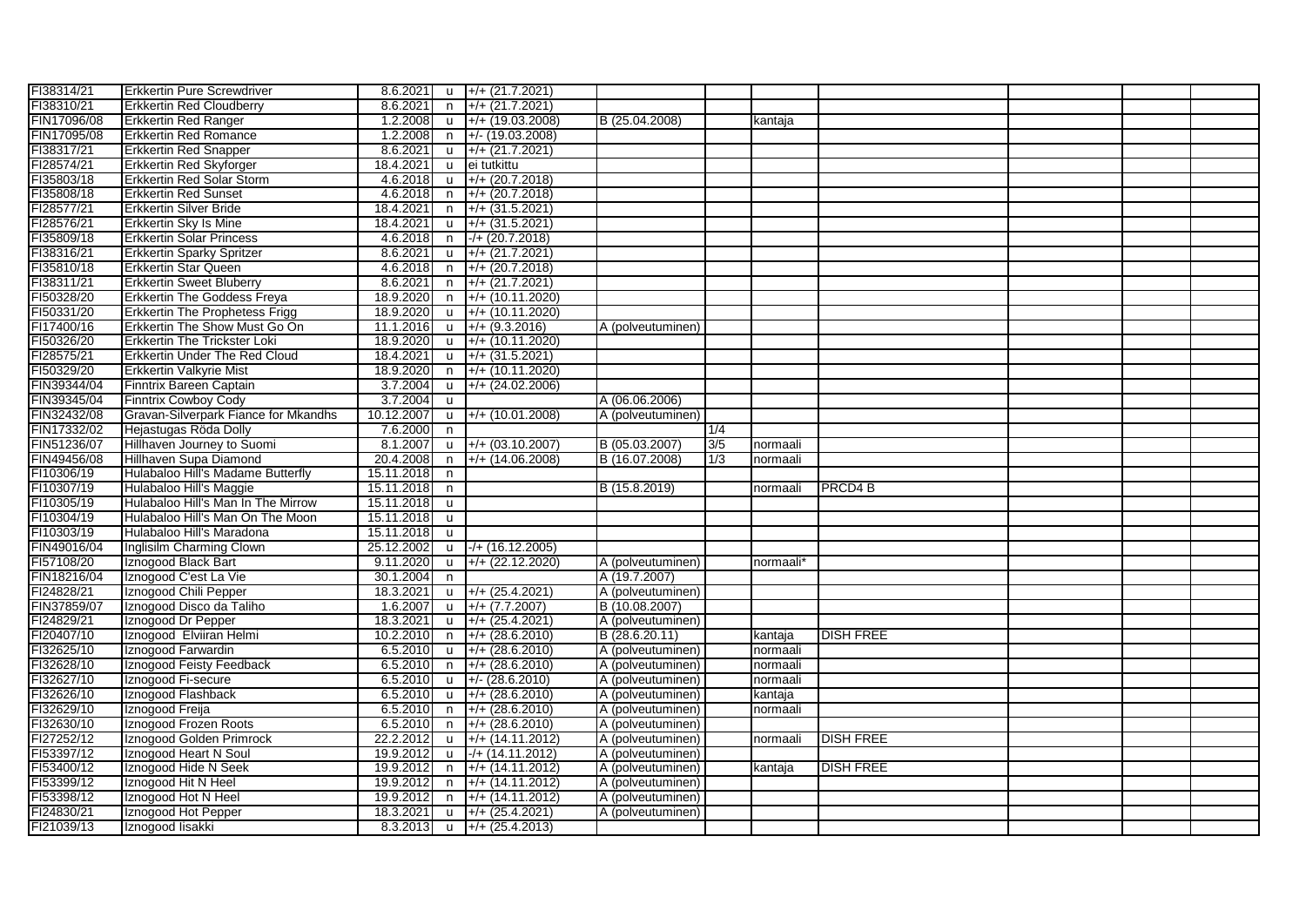| FI38314/21  |                                       |            |              |                                    |                   |     |           |                    |  |  |
|-------------|---------------------------------------|------------|--------------|------------------------------------|-------------------|-----|-----------|--------------------|--|--|
|             | <b>Erkkertin Pure Screwdriver</b>     |            |              | 8.6.2021 u $+/- (21.7.2021)$       |                   |     |           |                    |  |  |
| FI38310/21  | <b>Erkkertin Red Cloudberry</b>       | 8.6.2021   | n n          | $+/- (21.7.2021)$                  |                   |     |           |                    |  |  |
| FIN17096/08 | <b>Erkkertin Red Ranger</b>           | 1.2.2008   | <b>u</b>     | $+$ /+ (19.03.2008)                | B (25.04.2008)    |     | kantaja   |                    |  |  |
| FIN17095/08 | <b>Erkkertin Red Romance</b>          | 1.2.2008   | n            | $+/- (19.03.2008)$                 |                   |     |           |                    |  |  |
| FI38317/21  | <b>Erkkertin Red Snapper</b>          | 8.6.2021   | $\mathsf{u}$ | $\left  +/+ (21.7.2021) \right $   |                   |     |           |                    |  |  |
| FI28574/21  | Erkkertin Red Skyforger               | 18.4.2021  | <b>u</b>     | ei tutkittu                        |                   |     |           |                    |  |  |
| FI35803/18  | Erkkertin Red Solar Storm             | 4.6.2018   | <b>u</b>     | $+/- (20.7.2018)$                  |                   |     |           |                    |  |  |
| FI35808/18  | <b>Erkkertin Red Sunset</b>           | 4.6.2018   | n            | $+/- (20.7.2018)$                  |                   |     |           |                    |  |  |
| FI28577/21  | Erkkertin Silver Bride                | 18.4.2021  | n            | $+$ /+ (31.5.2021)                 |                   |     |           |                    |  |  |
| FI28576/21  | Erkkertin Sky Is Mine                 | 18.4.2021  |              | $\mu$ +/+ (31.5.2021)              |                   |     |           |                    |  |  |
| FI35809/18  | <b>Erkkertin Solar Princess</b>       | 4.6.2018   | n.           | $-/- (20.7.2018)$                  |                   |     |           |                    |  |  |
| FI38316/21  | <b>Erkkertin Sparky Spritzer</b>      | 8.6.2021   |              | u +/+ (21.7.2021)                  |                   |     |           |                    |  |  |
| FI35810/18  | <b>Erkkertin Star Queen</b>           | 4.6.2018   | n            | $+/- (20.7.2018)$                  |                   |     |           |                    |  |  |
| FI38311/21  | <b>Erkkertin Sweet Bluberry</b>       | 8.6.2021   | n            | $+/- (21.7.2021)$                  |                   |     |           |                    |  |  |
| FI50328/20  | <b>Erkkertin The Goddess Freya</b>    | 18.9.2020  | n.           | $+$ /+ (10.11.2020)                |                   |     |           |                    |  |  |
| FI50331/20  | <b>Erkkertin The Prophetess Frigg</b> | 18.9.2020  | <b>u</b>     | $+$ /+ (10.11.2020)                |                   |     |           |                    |  |  |
| FI17400/16  | Erkkertin The Show Must Go On         | 11.1.2016  | <b>u</b>     | $+/- (9.3.2016)$                   | A (polveutuminen) |     |           |                    |  |  |
| FI50326/20  | Erkkertin The Trickster Loki          | 18.9.2020  | <b>u</b>     | $+/- (10.11.2020)$                 |                   |     |           |                    |  |  |
| FI28575/21  | Erkkertin Under The Red Cloud         | 18.4.2021  | <b>u</b>     | $+/- (31.5.2021)$                  |                   |     |           |                    |  |  |
| FI50329/20  | Erkkertin Valkyrie Mist               | 18.9.2020  | n            | $+/- (10.11.2020)$                 |                   |     |           |                    |  |  |
| FIN39344/04 | Finntrix Bareen Captain               | 3.7.2004   | <b>u</b>     | $+/- (24.02.2006)$                 |                   |     |           |                    |  |  |
| FIN39345/04 | <b>Finntrix Cowboy Cody</b>           | 3.7.2004   | <b>u</b>     |                                    | A (06.06.2006)    |     |           |                    |  |  |
| FIN32432/08 | Gravan-Silverpark Fiance for Mkandhs  | 10.12.2007 | <b>u</b>     | $+/- (10.01.2008)$                 | A (polveutuminen) |     |           |                    |  |  |
| FIN17332/02 | Hejastugas Röda Dolly                 | 7.6.2000   | n            |                                    |                   | 1/4 |           |                    |  |  |
| FIN51236/07 | Hillhaven Journey to Suomi            | 8.1.2007   |              | $\mu$ +/+ (03.10.2007)             | B (05.03.2007)    | 3/5 | normaali  |                    |  |  |
| FIN49456/08 | Hillhaven Supa Diamond                | 20.4.2008  | n            | $+/- (14.06.2008)$                 | B (16.07.2008)    | 1/3 | normaali  |                    |  |  |
| FI10306/19  | Hulabaloo Hill's Madame Butterfly     | 15.11.2018 | n            |                                    |                   |     |           |                    |  |  |
| FI10307/19  | Hulabaloo Hill's Maggie               | 15.11.2018 | n            |                                    | B (15.8.2019)     |     | normaali  | PRCD4 <sub>B</sub> |  |  |
| FI10305/19  | Hulabaloo Hill's Man In The Mirrow    | 15.11.2018 | <b>u</b>     |                                    |                   |     |           |                    |  |  |
| FI10304/19  | Hulabaloo Hill's Man On The Moon      | 15.11.2018 | <b>u</b>     |                                    |                   |     |           |                    |  |  |
| FI10303/19  | Hulabaloo Hill's Maradona             | 15.11.2018 | <b>u</b>     |                                    |                   |     |           |                    |  |  |
| FIN49016/04 |                                       |            |              |                                    |                   |     |           |                    |  |  |
|             | Inglisilm Charming Clown              | 25.12.2002 | <b>u</b>     | $-/- (16.12.2005)$                 |                   |     |           |                    |  |  |
| FI57108/20  | Iznogood Black Bart                   | 9.11.2020  | <b>u</b>     | $+$ /+ (22.12.2020)                | A (polveutuminen) |     | normaali* |                    |  |  |
| FIN18216/04 | Iznogood C'est La Vie                 | 30.1.2004  | n            |                                    | A (19.7.2007)     |     |           |                    |  |  |
| FI24828/21  | Iznogood Chili Pepper                 | 18.3.2021  |              | $u$ +/+ (25.4.2021)                | A (polveutuminen) |     |           |                    |  |  |
| FIN37859/07 | Iznogood Disco da Taliho              | 1.6.2007   |              | $\mu$ +/+ (7.7.2007)               | B (10.08.2007)    |     |           |                    |  |  |
| FI24829/21  | Iznogood Dr Pepper                    | 18.3.2021  |              | $u +$ /+ (25.4.2021)               | A (polveutuminen) |     |           |                    |  |  |
| FI20407/10  | Iznogood Elviiran Helmi               | 10.2.2010  |              | $n$ +/+ (28.6.2010)                | B (28.6.20.11)    |     | kantaja   | <b>DISH FREE</b>   |  |  |
| FI32625/10  | Iznogood Farwardin                    | 6.5.2010   | <b>u</b>     | $+/- (28.6.2010)$                  | A (polveutuminen) |     | normaali  |                    |  |  |
| FI32628/10  | Iznogood Feisty Feedback              | 6.5.2010   | n            | $+/- (28.6.2010)$                  | A (polveutuminen) |     | normaali  |                    |  |  |
| FI32627/10  | Iznogood Fi-secure                    | 6.5.2010   | <b>u</b>     | $+/- (28.6.2010)$                  | A (polveutuminen) |     | normaali  |                    |  |  |
| FI32626/10  | Iznogood Flashback                    | 6.5.2010   | <b>u</b>     | $+/- (28.6.2010)$                  | A (polveutuminen) |     | kantaja   |                    |  |  |
| FI32629/10  | Iznogood Freija                       | 6.5.2010   | n            | $+/- (28.6.2010)$                  | A (polveutuminen) |     | normaali  |                    |  |  |
| FI32630/10  | Iznogood Frozen Roots                 | 6.5.2010   | n            | $+/- (28.6.2010)$                  | A (polveutuminen) |     |           |                    |  |  |
| FI27252/12  | Iznogood Golden Primrock              | 22.2.2012  | $\mathsf{u}$ | $+/- (14.11.2012)$                 | A (polveutuminen) |     | normaali  | <b>DISH FREE</b>   |  |  |
| FI53397/12  | Iznogood Heart N Soul                 | 19.9.2012  | <b>u</b>     | $-/- (14.11.2012)$                 | A (polveutuminen) |     |           |                    |  |  |
| FI53400/12  | Iznogood Hide N Seek                  | 19.9.2012  | n            | $+/- (14.11.2012)$                 | A (polveutuminen) |     | kantaja   | <b>DISH FREE</b>   |  |  |
| FI53399/12  | Iznogood Hit N Heel                   | 19.9.2012  | n            | $+/- (14.11.2012)$                 | A (polveutuminen) |     |           |                    |  |  |
| FI53398/12  | Iznogood Hot N Heel                   | 19.9.2012  | n            | $+/- (14.11.2012)$                 | A (polveutuminen) |     |           |                    |  |  |
| FI24830/21  | Iznogood Hot Pepper                   | 18.3.2021  |              | u $\left  +/+ (25.4.2021) \right $ | A (polveutuminen) |     |           |                    |  |  |
| FI21039/13  | Iznogood lisakki                      |            |              | 8.3.2013 $u \neq + (25.4.2013)$    |                   |     |           |                    |  |  |
|             |                                       |            |              |                                    |                   |     |           |                    |  |  |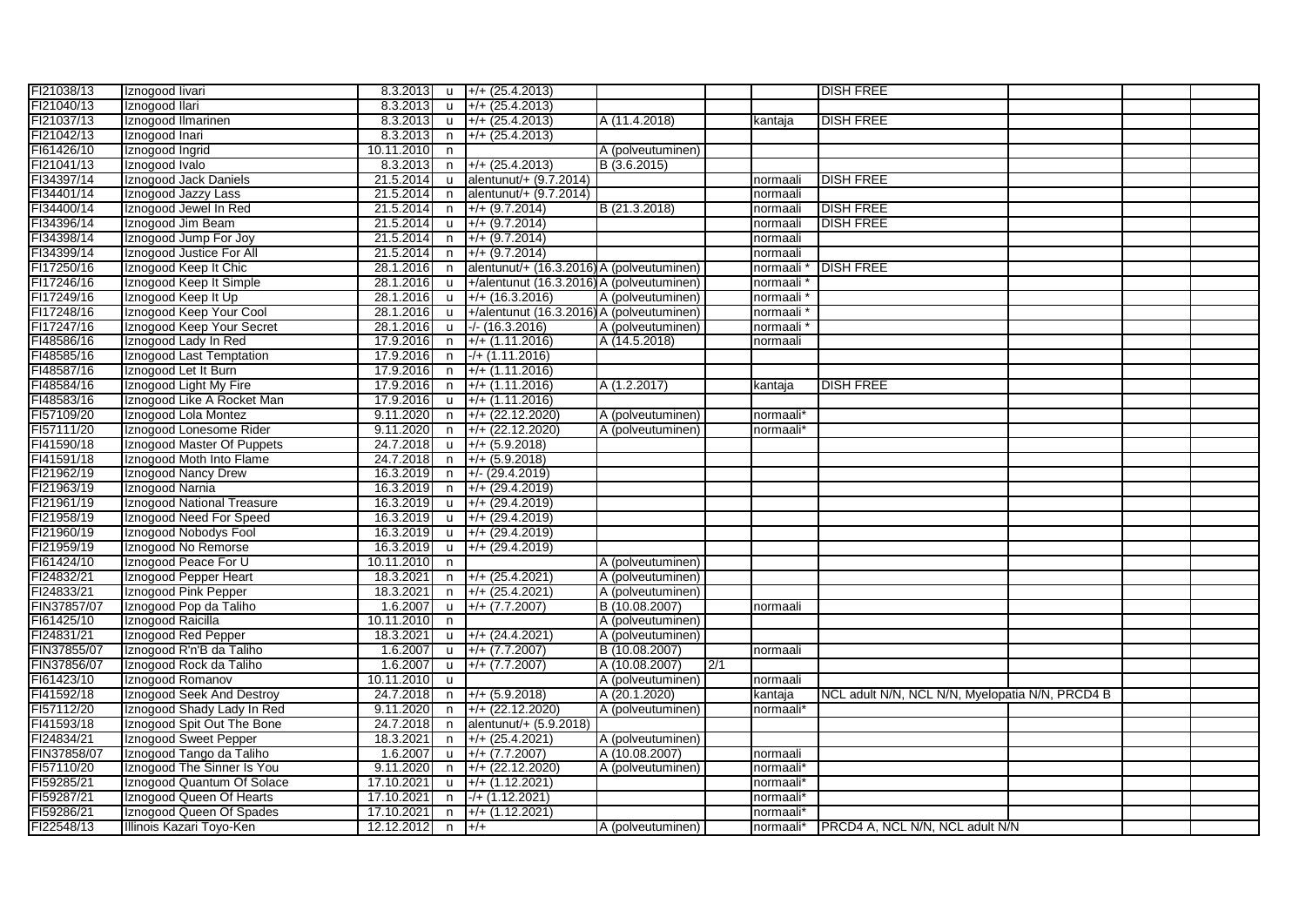| FI21038/13               | Iznogood livari            | $8.3.2013$ u |              | $\left  + \right $ (25.4.2013)            |                   |     |                       | <b>DISH FREE</b>                                |  |  |
|--------------------------|----------------------------|--------------|--------------|-------------------------------------------|-------------------|-----|-----------------------|-------------------------------------------------|--|--|
| FI21040/13               | Iznogood Ilari             | 8.3.2013     | $\mathbf{u}$ | $+ / + (25.4.2013)$                       |                   |     |                       |                                                 |  |  |
| FI21037/13               | Iznogood Ilmarinen         | 8.3.2013     | $\mathsf{u}$ | $+/- (25.4.2013)$                         | A (11.4.2018)     |     | kantaja               | <b>DISH FREE</b>                                |  |  |
| FI21042/13               | Iznogood Inari             | 8.3.2013     | n            | $+/- (25.4.2013)$                         |                   |     |                       |                                                 |  |  |
| FI61426/10               | Iznogood Ingrid            | 10.11.2010   | n.           |                                           | A (polveutuminen) |     |                       |                                                 |  |  |
| FI21041/13               | Iznogood Ivalo             | 8.3.2013     | n            | $+/- (25.4.2013)$                         | B (3.6.2015)      |     |                       |                                                 |  |  |
| FI34397/14               | Iznogood Jack Daniels      | 21.5.2014    | <b>u</b>     | alentunut/+ (9.7.2014)                    |                   |     | normaali              | <b>DISH FREE</b>                                |  |  |
| FI34401/14               | Iznogood Jazzy Lass        | 21.5.2014    | $\mathsf{n}$ | alentunut/+ (9.7.2014)                    |                   |     | normaali              |                                                 |  |  |
| FI34400/14               | Iznogood Jewel In Red      | 21.5.2014    | n            | $+/- (9.7.2014)$                          | B (21.3.2018)     |     | normaali              | <b>DISH FREE</b>                                |  |  |
| FI34396/14               | Iznogood Jim Beam          | 21.5.2014    | <b>u</b>     | $+/- (9.7.2014)$                          |                   |     | normaali              | <b>DISH FREE</b>                                |  |  |
| FI34398/14               | Iznogood Jump For Joy      | 21.5.2014    | n            | $+/- (9.7.2014)$                          |                   |     | normaali              |                                                 |  |  |
| FI34399/14               | Iznogood Justice For All   | 21.5.2014    | n            | $+/- (9.7.2014)$                          |                   |     | normaali              |                                                 |  |  |
| FI17250/16               | Iznogood Keep It Chic      | 28.1.2016    |              | alentunut/+ (16.3.2016) A (polveutuminen) |                   |     |                       | <b>DISH FREE</b>                                |  |  |
|                          |                            |              | n.           |                                           |                   |     | normaali              |                                                 |  |  |
| FI17246/16<br>FI17249/16 | Iznogood Keep It Simple    | 28.1.2016    | <b>u</b>     | +/alentunut (16.3.2016) A (polveutuminen) |                   |     | normaali              |                                                 |  |  |
|                          | Iznogood Keep It Up        | 28.1.2016    | <b>u</b>     | $+ / + (16.3.2016)$                       | A (polveutuminen) |     | normaali              |                                                 |  |  |
| FI17248/16               | Iznogood Keep Your Cool    | 28.1.2016    | <b>u</b>     | +/alentunut (16.3.2016) A (polveutuminen) |                   |     | normaali              |                                                 |  |  |
| FI17247/16               | Iznogood Keep Your Secret  | 28.1.2016    | <b>u</b>     | $-/- (16.3.2016)$                         | A (polveutuminen) |     | normaali              |                                                 |  |  |
| FI48586/16               | Iznogood Lady In Red       | 17.9.2016    | n            | $+/- (1.11.2016)$                         | A (14.5.2018)     |     | normaali              |                                                 |  |  |
| FI48585/16               | Iznogood Last Temptation   | 17.9.2016    | n            | $-/- (1.11.2016)$                         |                   |     |                       |                                                 |  |  |
| FI48587/16               | Iznogood Let It Burn       | 17.9.2016    | n.           | $+/- (1.11.2016)$                         |                   |     |                       |                                                 |  |  |
| FI48584/16               | Iznogood Light My Fire     | 17.9.2016    | n            | $+/- (1.11.2016)$                         | A (1.2.2017)      |     | kantaja               | <b>DISH FREE</b>                                |  |  |
| FI48583/16               | Iznogood Like A Rocket Man | 17.9.2016    | u            | $+/- (1.11.2016)$                         |                   |     |                       |                                                 |  |  |
| FI57109/20               | Iznogood Lola Montez       | 9.11.2020    | n            | $+/- (22.12.2020)$                        | A (polveutuminen) |     | normaali*             |                                                 |  |  |
| FI57111/20               | Iznogood Lonesome Rider    | 9.11.2020    | n            | $+/- (22.12.2020)$                        | A (polveutuminen) |     | normaali*             |                                                 |  |  |
| FI41590/18               | Iznogood Master Of Puppets | 24.7.2018    | u            | $+/- (5.9.2018)$                          |                   |     |                       |                                                 |  |  |
| FI41591/18               | Iznogood Moth Into Flame   | 24.7.2018    | n            | $+/- (5.9.2018)$                          |                   |     |                       |                                                 |  |  |
| FI21962/19               | Iznogood Nancy Drew        | 16.3.2019    | n            | $+/- (29.4.2019)$                         |                   |     |                       |                                                 |  |  |
| FI21963/19               | Iznogood Narnia            | 16.3.2019    | n            | $+/- (29.4.2019)$                         |                   |     |                       |                                                 |  |  |
| FI21961/19               | Iznogood National Treasure | 16.3.2019    | $\mathsf{u}$ | $+$ /+ (29.4.2019)                        |                   |     |                       |                                                 |  |  |
| FI21958/19               | Iznogood Need For Speed    | 16.3.2019    | $\mathsf{u}$ | $+/- (29.4.2019)$                         |                   |     |                       |                                                 |  |  |
| FI21960/19               | Iznogood Nobodys Fool      | 16.3.2019    | u            | $+/- (29.4.2019)$                         |                   |     |                       |                                                 |  |  |
| FI21959/19               | Iznogood No Remorse        | 16.3.2019    | <b>u</b>     | $+$ /+ (29.4.2019)                        |                   |     |                       |                                                 |  |  |
| FI61424/10               | Iznogood Peace For U       | 10.11.2010   | n.           |                                           | A (polveutuminen) |     |                       |                                                 |  |  |
| FI24832/21               | Iznogood Pepper Heart      | 18.3.2021    | n.           | $+/- (25.4.2021)$                         | A (polveutuminen) |     |                       |                                                 |  |  |
| FI24833/21               | Iznogood Pink Pepper       | 18.3.2021    | n            | $+/- (25.4.2021)$                         | A (polveutuminen) |     |                       |                                                 |  |  |
| FIN37857/07              | Iznogood Pop da Taliho     | 1.6.2007     | <b>u</b>     | $+/- (7.7.2007)$                          | B (10.08.2007)    |     | normaali              |                                                 |  |  |
| FI61425/10               | Iznogood Raicilla          | 10.11.2010   | n            |                                           | A (polveutuminen) |     |                       |                                                 |  |  |
| FI24831/21               | Iznogood Red Pepper        | 18.3.2021    | <b>u</b>     | $+/- (24.4.2021)$                         | A (polveutuminen) |     |                       |                                                 |  |  |
| FIN37855/07              | Iznogood R'n'B da Taliho   | 1.6.2007     | <b>u</b>     | $+/- (7.7.2007)$                          | B (10.08.2007)    |     | normaali              |                                                 |  |  |
| FIN37856/07              | Iznogood Rock da Taliho    | 1.6.2007     | $\mathsf{u}$ | $+/- (7.7.2007)$                          | A (10.08.2007)    | 2/1 |                       |                                                 |  |  |
| FI61423/10               | Iznogood Romanov           | 10.11.2010   | $\mathsf{u}$ |                                           | A (polveutuminen) |     | normaali              |                                                 |  |  |
| FI41592/18               | Iznogood Seek And Destroy  | 24.7.2018    | n            | $+/- (5.9.2018)$                          | A (20.1.2020)     |     | kantaja               | NCL adult N/N, NCL N/N, Myelopatia N/N, PRCD4 B |  |  |
| FI57112/20               | Iznogood Shady Lady In Red | 9.11.2020    | $\mathsf{n}$ | $+$ /+ (22.12.2020)                       | A (polveutuminen) |     | normaali <sup>*</sup> |                                                 |  |  |
| FI41593/18               | Iznogood Spit Out The Bone | 24.7.2018    | n            | alentunut/+ (5.9.2018)                    |                   |     |                       |                                                 |  |  |
| FI24834/21               | Iznogood Sweet Pepper      | 18.3.2021    | n            | $+/- (25.4.2021)$                         | A (polveutuminen) |     |                       |                                                 |  |  |
| FIN37858/07              | Iznogood Tango da Taliho   | 1.6.2007     | $\mathbf{u}$ | $+/- (7.7.2007)$                          | A (10.08.2007)    |     | normaali              |                                                 |  |  |
| FI57110/20               | Iznogood The Sinner Is You | 9.11.2020    | n.           | $+ / + (22.12.2020)$                      | A (polveutuminen) |     | normaali              |                                                 |  |  |
| FI59285/21               | Iznogood Quantum Of Solace | 17.10.2021   | u            | $+/- (1.12.2021)$                         |                   |     | normaali*             |                                                 |  |  |
| FI59287/21               | Iznogood Queen Of Hearts   | 17.10.2021   | $\mathsf{n}$ | $-$ /+ (1.12.2021)                        |                   |     | normaali*             |                                                 |  |  |
| FI59286/21               | Iznogood Queen Of Spades   | 17.10.2021   | n            | $+/- (1.12.2021)$                         |                   |     | normaali*             |                                                 |  |  |
| FI22548/13               | Illinois Kazari Toyo-Ken   | 12.12.2012   | n.           | $+/-$                                     | A (polveutuminen) |     |                       | normaali*   PRCD4 A, NCL N/N, NCL adult N/N     |  |  |
|                          |                            |              |              |                                           |                   |     |                       |                                                 |  |  |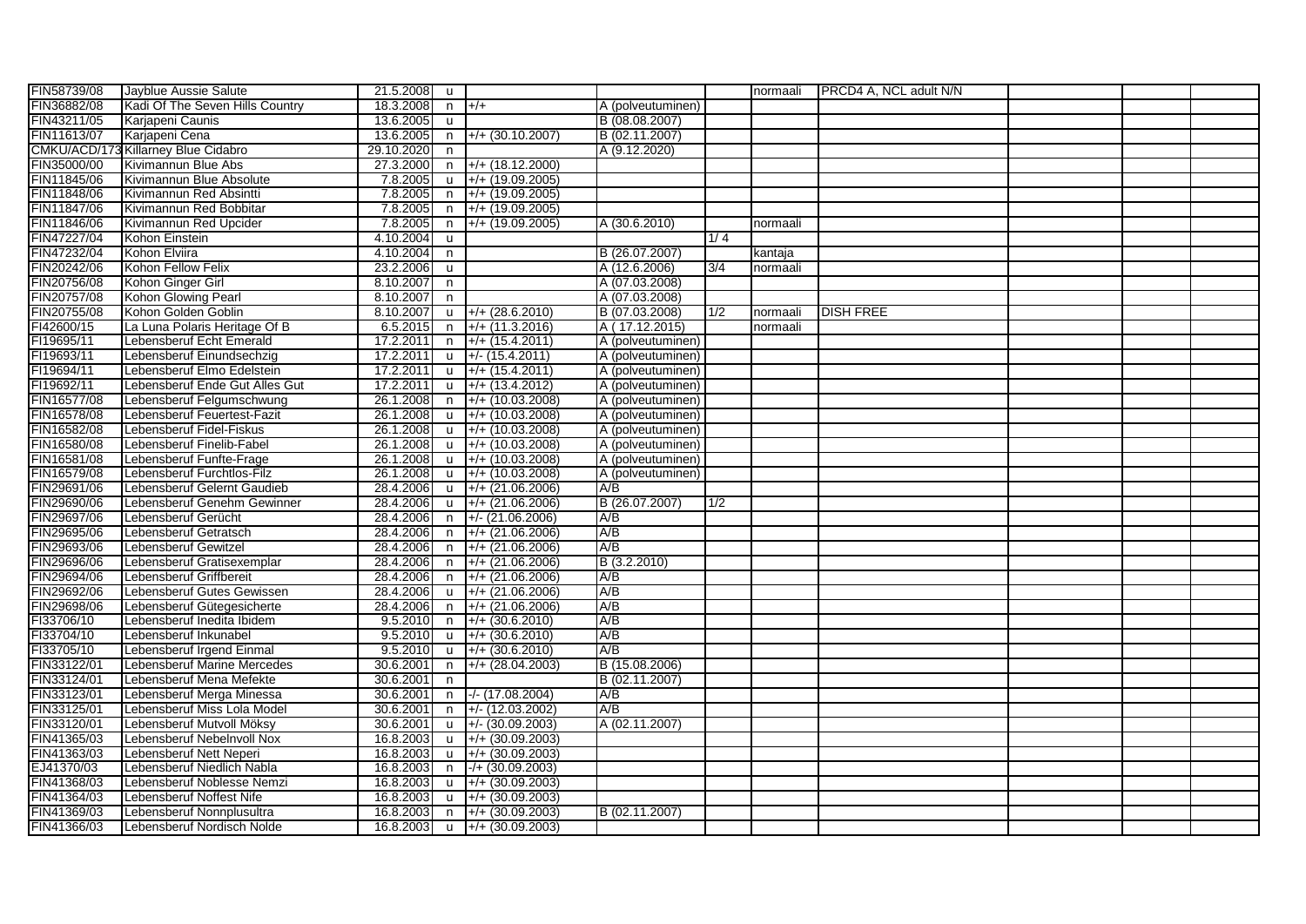| FIN58739/08 | Jayblue Aussie Salute               | 21.5.2008 u |              |                                            |                   |     | normaali | <b>PRCD4 A, NCL adult N/N</b> |  |  |
|-------------|-------------------------------------|-------------|--------------|--------------------------------------------|-------------------|-----|----------|-------------------------------|--|--|
| FIN36882/08 | Kadi Of The Seven Hills Country     | 18.3.2008   | $n +/+$      |                                            | A (polveutuminen) |     |          |                               |  |  |
| FIN43211/05 | Karjapeni Caunis                    | 13.6.2005   | $\mathbf{u}$ |                                            | B (08.08.2007)    |     |          |                               |  |  |
| FIN11613/07 | Karjapeni Cena                      | 13.6.2005   | n,           | $+/+(30.10.2007)$                          | B (02.11.2007)    |     |          |                               |  |  |
|             | CMKU/ACD/173 Killarney Blue Cidabro | 29.10.2020  | $\mathsf{n}$ |                                            | A (9.12.2020)     |     |          |                               |  |  |
| FIN35000/00 | Kivimannun Blue Abs                 | 27.3.2000   | n            | $+/+(18.12.2000)$                          |                   |     |          |                               |  |  |
| FIN11845/06 | Kivimannun Blue Absolute            | 7.8.2005    | $\mathsf{u}$ | $+$ /+ (19.09.2005)                        |                   |     |          |                               |  |  |
| FIN11848/06 | Kivimannun Red Absintti             | 7.8.2005    | n            | $+/- (19.09.2005)$                         |                   |     |          |                               |  |  |
| FIN11847/06 | Kivimannun Red Bobbitar             | 7.8.2005    | n            | $+$ /+ (19.09.2005)                        |                   |     |          |                               |  |  |
| FIN11846/06 | Kivimannun Red Upcider              | 7.8.2005    | n            | $+/- (19.09.2005)$                         | A (30.6.2010)     |     | normaali |                               |  |  |
| FIN47227/04 | Kohon Einstein                      | 4.10.2004   | <b>u</b>     |                                            |                   | 1/4 |          |                               |  |  |
| FIN47232/04 | Kohon Elviira                       | 4.10.2004   | n            |                                            | B (26.07.2007)    |     | kantaja  |                               |  |  |
| FIN20242/06 | Kohon Fellow Felix                  | 23.2.2006   | <b>u</b>     |                                            | A (12.6.2006)     | 3/4 | normaali |                               |  |  |
| FIN20756/08 | Kohon Ginger Girl                   | 8.10.2007   | n            |                                            | A (07.03.2008)    |     |          |                               |  |  |
| FIN20757/08 | Kohon Glowing Pearl                 | 8.10.2007   | $\mathsf{n}$ |                                            | A (07.03.2008)    |     |          |                               |  |  |
| FIN20755/08 | Kohon Golden Goblin                 | 8.10.2007   | <b>u</b>     | $+ / + (28.6.2010)$                        | B (07.03.2008)    | 1/2 | normaali | <b>DISH FREE</b>              |  |  |
| FI42600/15  | La Luna Polaris Heritage Of B       | 6.5.2015    | n            | $+/- (11.3.2016)$                          | A (17.12.2015)    |     | normaali |                               |  |  |
| FI19695/11  | Lebensberuf Echt Emerald            | 17.2.2011   | n            | $+$ /+ (15.4.2011)                         | A (polveutuminen) |     |          |                               |  |  |
| FI19693/11  | Lebensberuf Einundsechzig           | 17.2.2011   | <b>u</b>     | $+/- (15.4.2011)$                          | A (polveutuminen) |     |          |                               |  |  |
| FI19694/11  | Lebensberuf Elmo Edelstein          | 17.2.2011   | u            | $+$ /+ (15.4.2011)                         | A (polveutuminen) |     |          |                               |  |  |
| FI19692/11  | Lebensberuf Ende Gut Alles Gut      | 17.2.2011   | <b>u</b>     | $+$ /+ (13.4.2012)                         | A (polveutuminen) |     |          |                               |  |  |
| FIN16577/08 | Lebensberuf Felgumschwung           | 26.1.2008   | n            | $+/+ (10.03.2008)$                         | A (polveutuminen) |     |          |                               |  |  |
| FIN16578/08 | Lebensberuf Feuertest-Fazit         | 26.1.2008   | $\mathsf{u}$ | $+/- (10.03.2008)$                         | A (polveutuminen) |     |          |                               |  |  |
| FIN16582/08 | Lebensberuf Fidel-Fiskus            | 26.1.2008   | $\mathsf{u}$ | $+/- (10.03.2008)$                         | A (polveutuminen) |     |          |                               |  |  |
| FIN16580/08 | Lebensberuf Finelib-Fabel           | 26.1.2008   | u            | $+$ /+ (10.03.2008)                        | A (polveutuminen) |     |          |                               |  |  |
| FIN16581/08 | Lebensberuf Funfte-Frage            | 26.1.2008   | $\mathsf{u}$ | $+/- (10.03.2008)$                         | A (polveutuminen) |     |          |                               |  |  |
| FIN16579/08 | Lebensberuf Furchtlos-Filz          | 26.1.2008   | <b>u</b>     | $+$ /+ (10.03.2008)                        | A (polveutuminen) |     |          |                               |  |  |
| FIN29691/06 | Lebensberuf Gelernt Gaudieb         | 28.4.2006   | <b>u</b>     | $+/- (21.06.2006)$                         | A/B               |     |          |                               |  |  |
| FIN29690/06 | Lebensberuf Genehm Gewinner         | 28.4.2006   | <b>u</b>     | $+ / + (21.06.2006)$                       | B (26.07.2007)    | 1/2 |          |                               |  |  |
| FIN29697/06 | Lebensberuf Gerücht                 | 28.4.2006   | n            | $+/- (21.06.2006)$                         | A/B               |     |          |                               |  |  |
| FIN29695/06 | Lebensberuf Getratsch               | 28.4.2006   | $\mathsf{n}$ | $+ / + (21.06.2006)$                       | A/B               |     |          |                               |  |  |
| FIN29693/06 | Lebensberuf Gewitzel                | 28.4.2006   | $\mathsf{n}$ | $+ / + (21.06.2006)$                       | A/B               |     |          |                               |  |  |
| FIN29696/06 | Lebensberuf Gratisexemplar          | 28.4.2006   | n            | $+ / + (21.06.2006)$                       | B (3.2.2010)      |     |          |                               |  |  |
| FIN29694/06 | Lebensberuf Griffbereit             | 28.4.2006   | n            | $+$ /+ (21.06.2006)                        | A/B               |     |          |                               |  |  |
| FIN29692/06 | Lebensberuf Gutes Gewissen          | 28.4.2006   | u            | $+/- (21.06.2006)$                         | A/B               |     |          |                               |  |  |
| FIN29698/06 | Lebensberuf Gütegesicherte          | 28.4.2006   | n            | $+ / + (21.06.2006)$                       | A/B               |     |          |                               |  |  |
| FI33706/10  | Lebensberuf Inedita Ibidem          | 9.5.2010    | n            | $+/- (30.6.2010)$                          | A/B               |     |          |                               |  |  |
| FI33704/10  | Lebensberuf Inkunabel               | 9.5.2010    | <b>u</b>     | $+/- (30.6.2010)$                          | A/B               |     |          |                               |  |  |
| FI33705/10  | Lebensberuf Irgend Einmal           | 9.5.2010    | $\mathsf{u}$ | $+/- (30.6.2010)$                          | A/B               |     |          |                               |  |  |
| FIN33122/01 | Lebensberuf Marine Mercedes         | 30.6.2001   | n            | $+$ /+ (28.04.2003)                        | B (15.08.2006)    |     |          |                               |  |  |
| FIN33124/01 | Lebensberuf Mena Mefekte            | 30.6.2001   | $\mathsf{n}$ |                                            | B (02.11.2007)    |     |          |                               |  |  |
| FIN33123/01 | Lebensberuf Merga Minessa           | 30.6.2001   | n            | $-/- (17.08.2004)$                         | A/B               |     |          |                               |  |  |
| FIN33125/01 | Lebensberuf Miss Lola Model         | 30.6.2001   | n            | $+/- (12.03.2002)$                         | A/B               |     |          |                               |  |  |
| FIN33120/01 | Lebensberuf Mutvoll Möksy           | 30.6.2001   | u            | $\left  + \right/ - (30.09.2003)$          | A (02.11.2007)    |     |          |                               |  |  |
| FIN41365/03 | Lebensberuf Nebelnvoll Nox          | 16.8.2003   | u            | $+/- (30.09.2003)$                         |                   |     |          |                               |  |  |
| FIN41363/03 | Lebensberuf Nett Neperi             | 16.8.2003   | $\mathsf{u}$ | $+/- (30.09.2003)$                         |                   |     |          |                               |  |  |
| EJ41370/03  | Lebensberuf Niedlich Nabla          | 16.8.2003   | n            | $-/- (30.09.2003)$                         |                   |     |          |                               |  |  |
| FIN41368/03 | Lebensberuf Noblesse Nemzi          | 16.8.2003   | <b>u</b>     | $+/- (30.09.2003)$                         |                   |     |          |                               |  |  |
| FIN41364/03 | Lebensberuf Noffest Nife            | 16.8.2003   | <b>u</b>     | $+$ /+ (30.09.2003)                        |                   |     |          |                               |  |  |
| FIN41369/03 | Lebensberuf Nonnplusultra           | 16.8.2003   | n            | $+/- (30.09.2003)$                         | B (02.11.2007)    |     |          |                               |  |  |
| FIN41366/03 | Lebensberuf Nordisch Nolde          |             |              | 16.8.2003 $\mid$ u $\mid$ +/+ (30.09.2003) |                   |     |          |                               |  |  |
|             |                                     |             |              |                                            |                   |     |          |                               |  |  |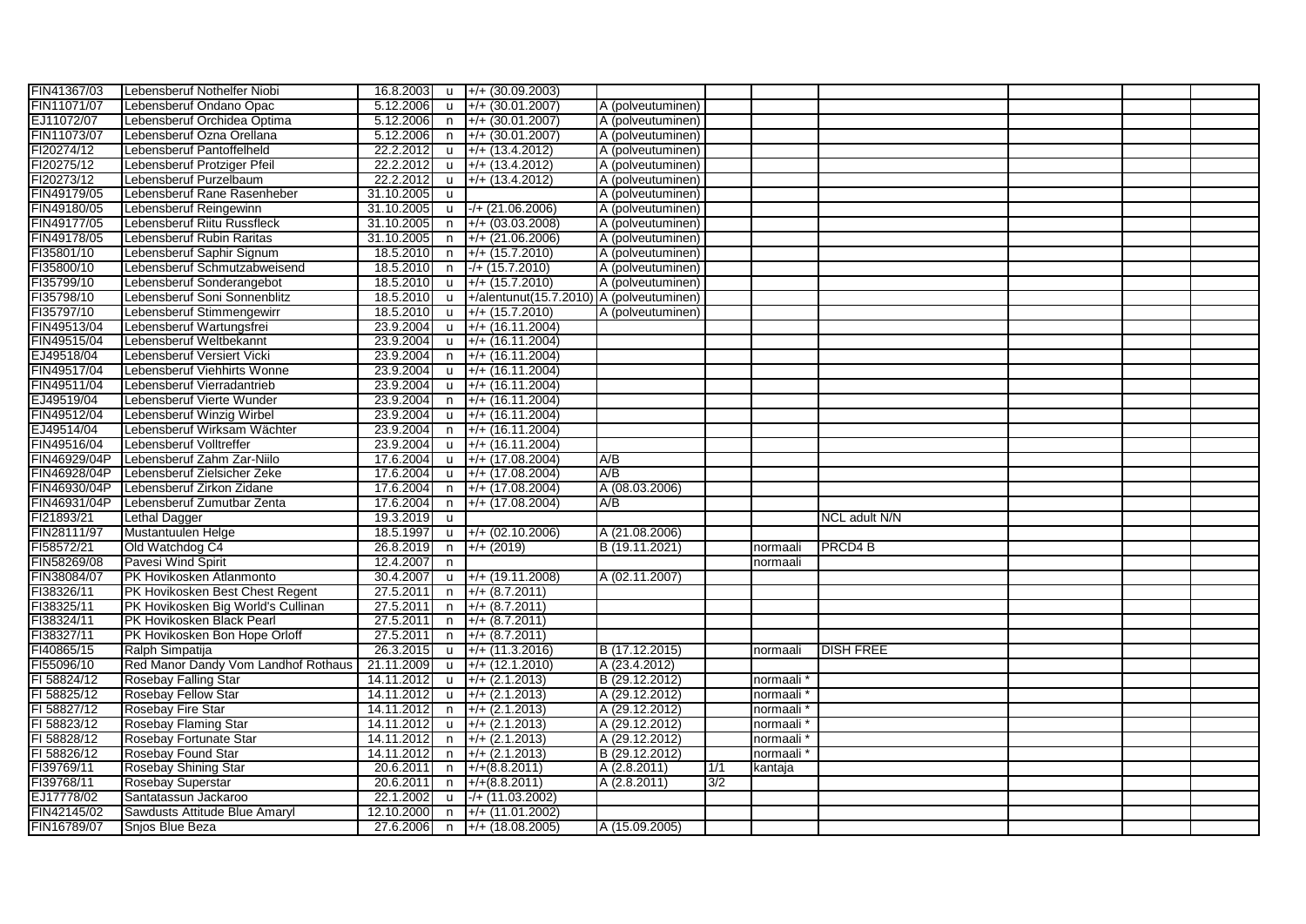| FIN41367/03  | Lebensberuf Nothelfer Niobi         | 16.8.2003  |                | $\mu$ +/+ (30.09.2003)                      |                   |     |          |                    |  |  |
|--------------|-------------------------------------|------------|----------------|---------------------------------------------|-------------------|-----|----------|--------------------|--|--|
| FIN11071/07  | Lebensberuf Ondano Opac             | 5.12.2006  |                | $+ / + (30.01.2007)$                        | A (polveutuminen) |     |          |                    |  |  |
|              |                                     |            | <b>u</b>       |                                             |                   |     |          |                    |  |  |
| EJ11072/07   | Lebensberuf Orchidea Optima         | 5.12.2006  | n              | $+/- (30.01.2007)$                          | A (polveutuminen) |     |          |                    |  |  |
| FIN11073/07  | Lebensberuf Ozna Orellana           | 5.12.2006  | n              | $+/- (30.01.2007)$                          | A (polveutuminen) |     |          |                    |  |  |
| FI20274/12   | Lebensberuf Pantoffelheld           | 22.2.2012  | u              | $+/- (13.4.2012)$                           | A (polveutuminen) |     |          |                    |  |  |
| FI20275/12   | Lebensberuf Protziger Pfeil         | 22.2.2012  | <b>u</b>       | $+/- (13.4.2012)$                           | A (polveutuminen) |     |          |                    |  |  |
| FI20273/12   | Lebensberuf Purzelbaum              | 22.2.2012  | u              | $+/- (13.4.2012)$                           | A (polveutuminen) |     |          |                    |  |  |
| FIN49179/05  | Lebensberuf Rane Rasenheber         | 31.10.2005 | u              |                                             | A (polveutuminen) |     |          |                    |  |  |
| FIN49180/05  | Lebensberuf Reingewinn              | 31.10.2005 |                | $\mu$ -/+ (21.06.2006)                      | A (polveutuminen) |     |          |                    |  |  |
| FIN49177/05  | Lebensberuf Riitu Russfleck         | 31.10.2005 | n              | $+/- (03.03.2008)$                          | A (polveutuminen) |     |          |                    |  |  |
| FIN49178/05  | Lebensberuf Rubin Raritas           | 31.10.2005 |                | $n +$ +/+ (21.06.2006)                      | A (polveutuminen) |     |          |                    |  |  |
| FI35801/10   | Lebensberuf Saphir Signum           | 18.5.2010  | n              | $+/- (15.7.2010)$                           | A (polveutuminen) |     |          |                    |  |  |
| FI35800/10   | Lebensberuf Schmutzabweisend        | 18.5.2010  | n              | $-/- (15.7.2010)$                           | A (polveutuminen) |     |          |                    |  |  |
| FI35799/10   | Lebensberuf Sonderangebot           | 18.5.2010  | <b>u</b>       | $+/- (15.7.2010)$                           | A (polveutuminen) |     |          |                    |  |  |
| FI35798/10   | Lebensberuf Soni Sonnenblitz        | 18.5.2010  | <b>u</b>       | $+$ /alentunut(15.7.2010) A (polveutuminen) |                   |     |          |                    |  |  |
| FI35797/10   | Lebensberuf Stimmengewirr           | 18.5.2010  | <b>u</b>       | $+ / + (15.7.2010)$                         | A (polveutuminen) |     |          |                    |  |  |
| FIN49513/04  | Lebensberuf Wartungsfrei            | 23.9.2004  | <b>u</b>       | $+/- (16.11.2004)$                          |                   |     |          |                    |  |  |
| FIN49515/04  | Lebensberuf Weltbekannt             | 23.9.2004  | <b>u</b>       | $+/- (16.11.2004)$                          |                   |     |          |                    |  |  |
| EJ49518/04   | Lebensberuf Versiert Vicki          | 23.9.2004  | n              | $+/- (16.11.2004)$                          |                   |     |          |                    |  |  |
| FIN49517/04  | Lebensberuf Viehhirts Wonne         | 23.9.2004  | u              | $+/- (16.11.2004)$                          |                   |     |          |                    |  |  |
| FIN49511/04  | Lebensberuf Vierradantrieb          | 23.9.2004  | <b>u</b>       | $+/- (16.11.2004)$                          |                   |     |          |                    |  |  |
| EJ49519/04   | Lebensberuf Vierte Wunder           | 23.9.2004  | n              | $+/- (16.11.2004)$                          |                   |     |          |                    |  |  |
| FIN49512/04  | Lebensberuf Winzig Wirbel           | 23.9.2004  |                | $u$ +/+ (16.11.2004)                        |                   |     |          |                    |  |  |
| EJ49514/04   | Lebensberuf Wirksam Wächter         | 23.9.2004  |                | $n +$ /+ (16.11.2004)                       |                   |     |          |                    |  |  |
| FIN49516/04  | Lebensberuf Volltreffer             | 23.9.2004  |                | u +/+ (16.11.2004)                          |                   |     |          |                    |  |  |
| FIN46929/04P | Lebensberuf Zahm Zar-Niilo          | 17.6.2004  | $\mathsf{u}$   | $+/- (17.08.2004)$                          | A/B               |     |          |                    |  |  |
| FIN46928/04P | Lebensberuf Zielsicher Zeke         | 17.6.2004  | <b>u</b>       | $+/- (17.08.2004)$                          | A/B               |     |          |                    |  |  |
| FIN46930/04P | Lebensberuf Zirkon Zidane           | 17.6.2004  | n.             | $+/- (17.08.2004)$                          | A (08.03.2006)    |     |          |                    |  |  |
| FIN46931/04P |                                     | 17.6.2004  |                | $+/- (17.08.2004)$                          | A/B               |     |          |                    |  |  |
|              | Lebensberuf Zumutbar Zenta          |            | n              |                                             |                   |     |          |                    |  |  |
| FI21893/21   | Lethal Dagger                       | 19.3.2019  | u              |                                             |                   |     |          | NCL adult N/N      |  |  |
| FIN28111/97  | Mustantuulen Helge                  | 18.5.1997  |                | $\mu$ +/+ (02.10.2006)                      | A (21.08.2006)    |     |          |                    |  |  |
| FI58572/21   | Old Watchdog C4                     | 26.8.2019  | n              | $+/- (2019)$                                | B (19.11.2021)    |     | normaali | PRCD4 <sub>B</sub> |  |  |
| FIN58269/08  | Pavesi Wind Spirit                  | 12.4.2007  | n              |                                             |                   |     | normaali |                    |  |  |
| FIN38084/07  | PK Hovikosken Atlanmonto            | 30.4.2007  |                | $\mu$ +/+ (19.11.2008)                      | A (02.11.2007)    |     |          |                    |  |  |
| FI38326/11   | PK Hovikosken Best Chest Regent     | 27.5.2011  | n              | $+/- (8.7.2011)$                            |                   |     |          |                    |  |  |
| FI38325/11   | PK Hovikosken Big World's Cullinan  | 27.5.2011  | n              | $+/- (8.7.2011)$                            |                   |     |          |                    |  |  |
| FI38324/11   | PK Hovikosken Black Pearl           | 27.5.2011  |                | $n$ +/+ (8.7.2011)                          |                   |     |          |                    |  |  |
| FI38327/11   | PK Hovikosken Bon Hope Orloff       | 27.5.2011  |                | $n \rightarrow +/+(8.7.2011)$               |                   |     |          |                    |  |  |
| FI40865/15   | Ralph Simpatija                     | 26.3.2015  | $\overline{u}$ | $+/- (11.3.2016)$                           | B (17.12.2015)    |     | normaali | <b>DISH FREE</b>   |  |  |
| FI55096/10   | Red Manor Dandy Vom Landhof Rothaus | 21.11.2009 |                | $\mu$ +/+ (12.1.2010)                       | A (23.4.2012)     |     |          |                    |  |  |
| FI 58824/12  | Rosebay Falling Star                | 14.11.2012 |                | $u +$ /+ (2.1.2013)                         | B (29.12.2012)    |     | normaali |                    |  |  |
| FI 58825/12  | Rosebay Fellow Star                 | 14.11.2012 | $u_{\perp}$    | $+/- (2.1.2013)$                            | A (29.12.2012)    |     | normaali |                    |  |  |
| FI 58827/12  | <b>Rosebay Fire Star</b>            | 14.11.2012 | n              | $+/- (2.1.2013)$                            | A (29.12.2012)    |     | normaali |                    |  |  |
| FI 58823/12  | Rosebay Flaming Star                | 14.11.2012 |                | $u +$ /+ (2.1.2013)                         | A (29.12.2012)    |     | normaali |                    |  |  |
| FI 58828/12  | Rosebay Fortunate Star              | 14.11.2012 | n              | $+/- (2.1.2013)$                            | A (29.12.2012)    |     | normaali |                    |  |  |
| FI 58826/12  | Rosebay Found Star                  | 14.11.2012 | n              | $+/- (2.1.2013)$                            | B (29.12.2012)    |     | normaali |                    |  |  |
| FI39769/11   | Rosebay Shining Star                | 20.6.2011  | n              | $+/- (8.8.2011)$                            | A (2.8.2011)      | 1/1 | kantaja  |                    |  |  |
| FI39768/11   | Rosebay Superstar                   | 20.6.2011  |                | $n$ +/+(8.8.2011)                           | A (2.8.2011)      | 3/2 |          |                    |  |  |
| EJ17778/02   | Santatassun Jackaroo                | 22.1.2002  |                | $\mu$ -/+ (11.03.2002)                      |                   |     |          |                    |  |  |
| FIN42145/02  | Sawdusts Attitude Blue Amaryl       | 12.10.2000 |                | n +/+ (11.01.2002)                          |                   |     |          |                    |  |  |
| FIN16789/07  | Snjos Blue Beza                     |            |                | 27.6.2006 n $\rightarrow$ +/+ (18.08.2005)  | A (15.09.2005)    |     |          |                    |  |  |
|              |                                     |            |                |                                             |                   |     |          |                    |  |  |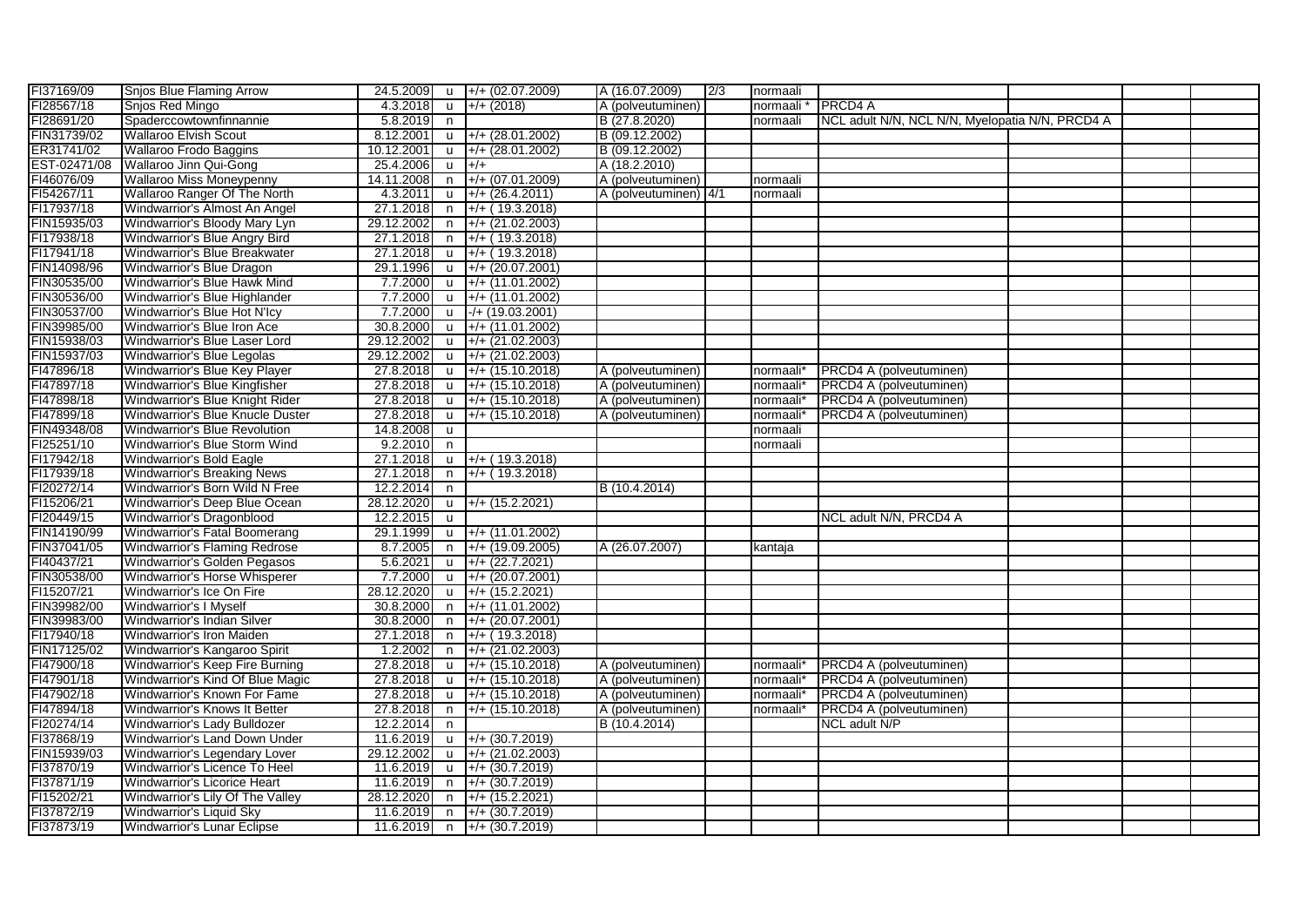| FI37169/09   | <b>Snjos Blue Flaming Arrow</b>      |            |              | 24.5.2009 u +/+ (02.07.2009)     | A (16.07.2009)        | 2/3 | normaali              |                                                 |  |  |
|--------------|--------------------------------------|------------|--------------|----------------------------------|-----------------------|-----|-----------------------|-------------------------------------------------|--|--|
| FI28567/18   | Snios Red Mingo                      | 4.3.2018   | <b>u</b>     | $+/- (2018)$                     | A (polveutuminen)     |     | normaali              | <b>PRCD4 A</b>                                  |  |  |
| FI28691/20   | Spaderccowtownfinnannie              | 5.8.2019   | n,           |                                  | B (27.8.2020)         |     | normaali              | NCL adult N/N, NCL N/N, Myelopatia N/N, PRCD4 A |  |  |
| FIN31739/02  | <b>Wallaroo Elvish Scout</b>         | 8.12.2001  | $\mathsf{u}$ | $+/- (28.01.2002)$               | B (09.12.2002)        |     |                       |                                                 |  |  |
| ER31741/02   | Wallaroo Frodo Baggins               | 10.12.2001 | u            | $+/- (28.01.2002)$               | B (09.12.2002)        |     |                       |                                                 |  |  |
| EST-02471/08 | Wallaroo Jinn Qui-Gong               | 25.4.2006  | $\mathsf{u}$ | $+/+$                            | A (18.2.2010)         |     |                       |                                                 |  |  |
| FI46076/09   | <b>Wallaroo Miss Moneypenny</b>      | 14.11.2008 | n            | $+/- (07.01.2009)$               | A (polveutuminen)     |     | normaali              |                                                 |  |  |
| FI54267/11   | <b>Wallaroo Ranger Of The North</b>  | 4.3.2011   | u            | $+/- (26.4.2011)$                | A (polveutuminen) 4/1 |     | normaali              |                                                 |  |  |
| FI17937/18   | Windwarrior's Almost An Angel        | 27.1.2018  | n            | $+/- (19.3.2018)$                |                       |     |                       |                                                 |  |  |
| FIN15935/03  | Windwarrior's Bloody Mary Lyn        | 29.12.2002 | n            | $+/- (21.02.2003)$               |                       |     |                       |                                                 |  |  |
| FI17938/18   | Windwarrior's Blue Angry Bird        | 27.1.2018  | n            | $+/-$ (19.3.2018)                |                       |     |                       |                                                 |  |  |
| FI17941/18   | Windwarrior's Blue Breakwater        | 27.1.2018  | <b>u</b>     | $+/-$ (19.3.2018)                |                       |     |                       |                                                 |  |  |
| FIN14098/96  | Windwarrior's Blue Dragon            | 29.1.1996  | $\mathsf{u}$ | $+/- (20.07.2001)$               |                       |     |                       |                                                 |  |  |
| FIN30535/00  | Windwarrior's Blue Hawk Mind         | 7.7.2000   | <b>u</b>     | $+/- (11.01.2002)$               |                       |     |                       |                                                 |  |  |
| FIN30536/00  | Windwarrior's Blue Highlander        | 7.7.2000   | <b>u</b>     | $+/- (11.01.2002)$               |                       |     |                       |                                                 |  |  |
| FIN30537/00  | Windwarrior's Blue Hot N'Icy         | 7.7.2000   | <b>u</b>     | $-/- (19.03.2001)$               |                       |     |                       |                                                 |  |  |
| FIN39985/00  | Windwarrior's Blue Iron Ace          | 30.8.2000  | <b>u</b>     | $+/- (11.01.2002)$               |                       |     |                       |                                                 |  |  |
| FIN15938/03  | Windwarrior's Blue Laser Lord        | 29.12.2002 | u            | $+/- (21.02.2003)$               |                       |     |                       |                                                 |  |  |
| FIN15937/03  | Windwarrior's Blue Legolas           | 29.12.2002 | $\mathsf{u}$ | $+/- (21.02.2003)$               |                       |     |                       |                                                 |  |  |
| FI47896/18   | Windwarrior's Blue Key Player        | 27.8.2018  | $\mathsf{u}$ | $+/- (15.10.2018)$               | A (polveutuminen)     |     | normaali*             | PRCD4 A (polveutuminen)                         |  |  |
| FI47897/18   | Windwarrior's Blue Kingfisher        | 27.8.2018  | <b>u</b>     | $+/- (15.10.2018)$               | A (polveutuminen)     |     | normaali*             | PRCD4 A (polveutuminen)                         |  |  |
| FI47898/18   | Windwarrior's Blue Knight Rider      | 27.8.2018  | <b>u</b>     | $+/- (15.10.2018)$               | A (polveutuminen)     |     | normaali*             | PRCD4 A (polveutuminen)                         |  |  |
| FI47899/18   | Windwarrior's Blue Knucle Duster     | 27.8.2018  | <b>u</b>     | $+/- (15.10.2018)$               | A (polveutuminen)     |     | normaali*             | PRCD4 A (polveutuminen)                         |  |  |
| FIN49348/08  | Windwarrior's Blue Revolution        | 14.8.2008  | <b>u</b>     |                                  |                       |     | normaali              |                                                 |  |  |
| FI25251/10   | Windwarrior's Blue Storm Wind        | 9.2.2010   | n            |                                  |                       |     | normaali              |                                                 |  |  |
| FI17942/18   | Windwarrior's Bold Eagle             | 27.1.2018  | $\mathsf{u}$ | $+/-$ (19.3.2018)                |                       |     |                       |                                                 |  |  |
| FI17939/18   | <b>Windwarrior's Breaking News</b>   | 27.1.2018  | n            | $+/-$ (19.3.2018)                |                       |     |                       |                                                 |  |  |
| FI20272/14   | Windwarrior's Born Wild N Free       | 12.2.2014  | n            |                                  | B (10.4.2014)         |     |                       |                                                 |  |  |
| FI15206/21   | Windwarrior's Deep Blue Ocean        | 28.12.2020 | <b>u</b>     | $+/- (15.2.2021)$                |                       |     |                       |                                                 |  |  |
| FI20449/15   | Windwarrior's Dragonblood            | 12.2.2015  | <b>u</b>     |                                  |                       |     |                       | NCL adult N/N, PRCD4 A                          |  |  |
| FIN14190/99  | Windwarrior's Fatal Boomerang        | 29.1.1999  | <b>u</b>     | $+/- (11.01.2002)$               |                       |     |                       |                                                 |  |  |
| FIN37041/05  | <b>Windwarrior's Flaming Redrose</b> | 8.7.2005   | n            | $+/- (19.09.2005)$               | A (26.07.2007)        |     | kantaja               |                                                 |  |  |
| FI40437/21   | Windwarrior's Golden Pegasos         | 5.6.2021   | u            | $+/- (22.7.2021)$                |                       |     |                       |                                                 |  |  |
| FIN30538/00  | Windwarrior's Horse Whisperer        | 7.7.2000   | $\mathsf{u}$ | $+/- (20.07.2001)$               |                       |     |                       |                                                 |  |  |
| FI15207/21   | Windwarrior's Ice On Fire            | 28.12.2020 | $\mathsf{u}$ | $+/- (15.2.2021)$                |                       |     |                       |                                                 |  |  |
| FIN39982/00  | <b>Windwarrior's I Myself</b>        | 30.8.2000  | n            | $+/- (11.01.2002)$               |                       |     |                       |                                                 |  |  |
| FIN39983/00  | Windwarrior's Indian Silver          | 30.8.2000  | n.           | $+/- (20.07.2001)$               |                       |     |                       |                                                 |  |  |
| FI17940/18   | Windwarrior's Iron Maiden            | 27.1.2018  | n.           | $+/-$ (19.3.2018)                |                       |     |                       |                                                 |  |  |
| FIN17125/02  | Windwarrior's Kangaroo Spirit        | 1.2.2002   | n            | $+/- (21.02.2003)$               |                       |     |                       |                                                 |  |  |
| FI47900/18   | Windwarrior's Keep Fire Burning      | 27.8.2018  | u            | $+/- (15.10.2018)$               | A (polveutuminen)     |     | normaali <sup>®</sup> | PRCD4 A (polveutuminen)                         |  |  |
| FI47901/18   | Windwarrior's Kind Of Blue Magic     | 27.8.2018  | <b>u</b>     | $+/- (15.10.2018)$               | A (polveutuminen)     |     | normaali <sup>®</sup> | PRCD4 A (polveutuminen)                         |  |  |
| FI47902/18   | Windwarrior's Known For Fame         | 27.8.2018  | <b>u</b>     | $+$ /+ (15.10.2018)              | A (polveutuminen)     |     | normaali <sup>®</sup> | PRCD4 A (polveutuminen)                         |  |  |
| FI47894/18   | Windwarrior's Knows It Better        | 27.8.2018  | n            | $+/- (15.10.2018)$               | A (polveutuminen)     |     | normaali*             | PRCD4 A (polveutuminen)                         |  |  |
| FI20274/14   | Windwarrior's Lady Bulldozer         | 12.2.2014  | n.           |                                  | B (10.4.2014)         |     |                       | NCL adult N/P                                   |  |  |
| FI37868/19   | Windwarrior's Land Down Under        | 11.6.2019  | <b>u</b>     | $+/- (30.7.2019)$                |                       |     |                       |                                                 |  |  |
| FIN15939/03  | Windwarrior's Legendary Lover        | 29.12.2002 | $\mathsf{u}$ | $+/- (21.02.2003)$               |                       |     |                       |                                                 |  |  |
| FI37870/19   | Windwarrior's Licence To Heel        | 11.6.2019  | $\mathsf{u}$ | $+/- (30.7.2019)$                |                       |     |                       |                                                 |  |  |
| FI37871/19   | Windwarrior's Licorice Heart         | 11.6.2019  | n            | $+/- (30.7.2019)$                |                       |     |                       |                                                 |  |  |
| FI15202/21   | Windwarrior's Lily Of The Valley     | 28.12.2020 | $\mathsf{n}$ | $+$ /+ (15.2.2021)               |                       |     |                       |                                                 |  |  |
| FI37872/19   | Windwarrior's Liquid Sky             | 11.6.2019  | n            | $+/- (30.7.2019)$                |                       |     |                       |                                                 |  |  |
| FI37873/19   | <b>Windwarrior's Lunar Eclipse</b>   | 11.6.2019  | n            | $\left  +/+ (30.7.2019) \right $ |                       |     |                       |                                                 |  |  |
|              |                                      |            |              |                                  |                       |     |                       |                                                 |  |  |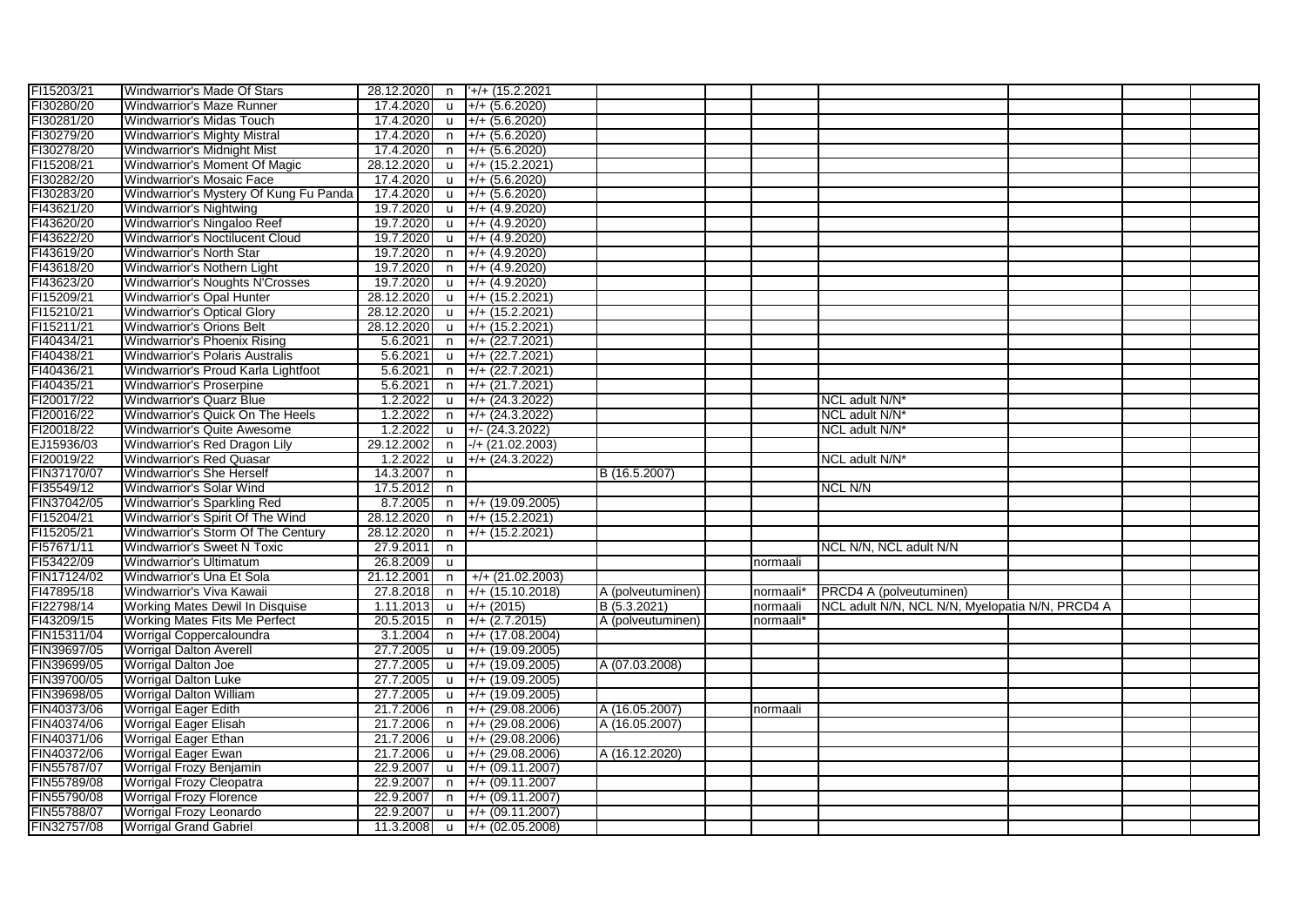| FI15203/21  | <b>Windwarrior's Made Of Stars</b>     |            |              | 28.12.2020 n  +/+ (15.2.2021               |                   |           |                                                 |  |  |
|-------------|----------------------------------------|------------|--------------|--------------------------------------------|-------------------|-----------|-------------------------------------------------|--|--|
| FI30280/20  | Windwarrior's Maze Runner              | 17.4.2020  |              | u $+/- (5.6.2020)$                         |                   |           |                                                 |  |  |
| FI30281/20  | Windwarrior's Midas Touch              | 17.4.2020  |              | $\mu$ +/+ (5.6.2020)                       |                   |           |                                                 |  |  |
| FI30279/20  | <b>Windwarrior's Mighty Mistral</b>    | 17.4.2020  |              | $n$ +/+ (5.6.2020)                         |                   |           |                                                 |  |  |
| FI30278/20  | Windwarrior's Midnight Mist            | 17.4.2020  | n.           | $+/- (5.6.2020)$                           |                   |           |                                                 |  |  |
| FI15208/21  | Windwarrior's Moment Of Magic          | 28.12.2020 | <b>u</b>     | $+$ /+ (15.2.2021)                         |                   |           |                                                 |  |  |
| FI30282/20  | Windwarrior's Mosaic Face              | 17.4.2020  | <b>u</b>     | $+/- (5.6.2020)$                           |                   |           |                                                 |  |  |
| FI30283/20  | Windwarrior's Mystery Of Kung Fu Panda | 17.4.2020  |              | $\mu$ +/+ (5.6.2020)                       |                   |           |                                                 |  |  |
| FI43621/20  | Windwarrior's Nightwing                | 19.7.2020  | $\mathsf{u}$ | $+/- (4.9.2020)$                           |                   |           |                                                 |  |  |
| FI43620/20  | Windwarrior's Ningaloo Reef            | 19.7.2020  | <b>u</b>     | $+/- (4.9.2020)$                           |                   |           |                                                 |  |  |
| FI43622/20  | Windwarrior's Noctilucent Cloud        | 19.7.2020  |              | $\mu$ +/+ (4.9.2020)                       |                   |           |                                                 |  |  |
| FI43619/20  | <b>Windwarrior's North Star</b>        | 19.7.2020  | n            | $+/- (4.9.2020)$                           |                   |           |                                                 |  |  |
| FI43618/20  | Windwarrior's Nothern Light            | 19.7.2020  |              | n +/+ (4.9.2020)                           |                   |           |                                                 |  |  |
| FI43623/20  | Windwarrior's Noughts N'Crosses        | 19.7.2020  |              | u $\left +\right $ + (4.9.2020)            |                   |           |                                                 |  |  |
| FI15209/21  | <b>Windwarrior's Opal Hunter</b>       | 28.12.2020 |              | $\frac{1}{2}$ +/+ (15.2.2021)              |                   |           |                                                 |  |  |
| FI15210/21  | Windwarrior's Optical Glory            | 28.12.2020 | <b>u</b>     | $+/- (15.2.2021)$                          |                   |           |                                                 |  |  |
| FI15211/21  | <b>Windwarrior's Orions Belt</b>       | 28.12.2020 | <b>u</b>     | $+/- (15.2.2021)$                          |                   |           |                                                 |  |  |
| FI40434/21  | Windwarrior's Phoenix Rising           | 5.6.2021   | n            | $+/- (22.7.2021)$                          |                   |           |                                                 |  |  |
| FI40438/21  | <b>Windwarrior's Polaris Australis</b> | 5.6.2021   | $\mathsf{u}$ | $+/- (22.7.2021)$                          |                   |           |                                                 |  |  |
| FI40436/21  | Windwarrior's Proud Karla Lightfoot    | 5.6.2021   | n.           | $+/- (22.7.2021)$                          |                   |           |                                                 |  |  |
| FI40435/21  | <b>Windwarrior's Proserpine</b>        | 5.6.2021   | n            | $+/- (21.7.2021)$                          |                   |           |                                                 |  |  |
| FI20017/22  | <b>Windwarrior's Quarz Blue</b>        | 1.2.2022   | $\mathbf{u}$ | $+/- (24.3.2022)$                          |                   |           | NCL adult N/N*                                  |  |  |
| FI20016/22  | Windwarrior's Quick On The Heels       | 1.2.2022   | n            | $+/- (24.3.2022)$                          |                   |           | NCL adult N/N*                                  |  |  |
| FI20018/22  | Windwarrior's Quite Awesome            | 1.2.2022   |              | $\mu$ +/- (24.3.2022)                      |                   |           | NCL adult N/N*                                  |  |  |
| EJ15936/03  |                                        |            |              | n -/+ (21.02.2003)                         |                   |           |                                                 |  |  |
|             | Windwarrior's Red Dragon Lily          | 29.12.2002 |              |                                            |                   |           |                                                 |  |  |
| FI20019/22  | <b>Windwarrior's Red Quasar</b>        | 1.2.2022   |              | $u +$ /+ (24.3.2022)                       |                   |           | NCL adult N/N*                                  |  |  |
| FIN37170/07 | <b>Windwarrior's She Herself</b>       | 14.3.2007  | n            |                                            | B (16.5.2007)     |           |                                                 |  |  |
| FI35549/12  | Windwarrior's Solar Wind               | 17.5.2012  | n            |                                            |                   |           | <b>NCL N/N</b>                                  |  |  |
| FIN37042/05 | Windwarrior's Sparkling Red            | 8.7.2005   |              | $n +$ /+ (19.09.2005)                      |                   |           |                                                 |  |  |
| FI15204/21  | Windwarrior's Spirit Of The Wind       | 28.12.2020 | n.           | $+/- (15.2.2021)$                          |                   |           |                                                 |  |  |
| FI15205/21  | Windwarrior's Storm Of The Century     | 28.12.2020 | n.           | $+/- (15.2.2021)$                          |                   |           |                                                 |  |  |
| FI57671/11  | Windwarrior's Sweet N Toxic            | 27.9.2011  | n.           |                                            |                   |           | NCL N/N, NCL adult N/N                          |  |  |
| FI53422/09  | Windwarrior's Ultimatum                | 26.8.2009  | <b>u</b>     |                                            |                   | normaali  |                                                 |  |  |
| FIN17124/02 | Windwarrior's Una Et Sola              | 21.12.2001 | n.           | $+ / + (21.02.2003)$                       |                   |           |                                                 |  |  |
| FI47895/18  | Windwarrior's Viva Kawaii              | 27.8.2018  | n            | $+/- (15.10.2018)$                         | A (polveutuminen) | normaali* | PRCD4 A (polveutuminen)                         |  |  |
| FI22798/14  | Working Mates Dewil In Disquise        | 1.11.2013  | $\mathsf{u}$ | $+/- (2015)$                               | B (5.3.2021)      | normaali  | NCL adult N/N, NCL N/N, Myelopatia N/N, PRCD4 A |  |  |
| FI43209/15  | Working Mates Fits Me Perfect          | 20.5.2015  |              | $n \rightarrow +/+(2.7.2015)$              | A (polveutuminen) | normaali* |                                                 |  |  |
| FIN15311/04 | Worrigal Coppercaloundra               | 3.1.2004   |              | $n +$ /+ (17.08.2004)                      |                   |           |                                                 |  |  |
| FIN39697/05 | <b>Worrigal Dalton Averell</b>         | 27.7.2005  |              | $\mu$ +/+ (19.09.2005)                     |                   |           |                                                 |  |  |
| FIN39699/05 | Worrigal Dalton Joe                    | 27.7.2005  |              | u +/+ (19.09.2005)                         | A (07.03.2008)    |           |                                                 |  |  |
| FIN39700/05 | <b>Worrigal Dalton Luke</b>            | 27.7.2005  |              | $\mu$ +/+ (19.09.2005)                     |                   |           |                                                 |  |  |
| FIN39698/05 | Worrigal Dalton William                | 27.7.2005  | <b>u</b>     | $+/- (19.09.2005)$                         |                   |           |                                                 |  |  |
| FIN40373/06 | <b>Worrigal Eager Edith</b>            | 21.7.2006  | n            | $+$ /+ (29.08.2006)                        | A (16.05.2007)    | normaali  |                                                 |  |  |
| FIN40374/06 | <b>Worrigal Eager Elisah</b>           | 21.7.2006  |              | $n +$ +/+ (29.08.2006)                     | A (16.05.2007)    |           |                                                 |  |  |
| FIN40371/06 | <b>Worrigal Eager Ethan</b>            | 21.7.2006  |              | $\mu$ +/+ (29.08.2006)                     |                   |           |                                                 |  |  |
| FIN40372/06 | Worrigal Eager Ewan                    | 21.7.2006  | <b>u</b>     | $+/- (29.08.2006)$                         | A (16.12.2020)    |           |                                                 |  |  |
| FIN55787/07 | Worrigal Frozy Benjamin                | 22.9.2007  |              | $\mu$ +/+ (09.11.2007)                     |                   |           |                                                 |  |  |
| FIN55789/08 | <b>Worrigal Frozy Cleopatra</b>        | 22.9.2007  |              | $n +$ +/+ (09.11.2007                      |                   |           |                                                 |  |  |
| FIN55790/08 | <b>Worrigal Frozy Florence</b>         | 22.9.2007  |              | $n +$ +/+ (09.11.2007)                     |                   |           |                                                 |  |  |
| FIN55788/07 | Worrigal Frozy Leonardo                | 22.9.2007  |              | $\mu$ +/+ (09.11.2007)                     |                   |           |                                                 |  |  |
| FIN32757/08 | <b>Worrigal Grand Gabriel</b>          |            |              | 11.3.2008 $\mid$ u $\mid$ +/+ (02.05.2008) |                   |           |                                                 |  |  |
|             |                                        |            |              |                                            |                   |           |                                                 |  |  |